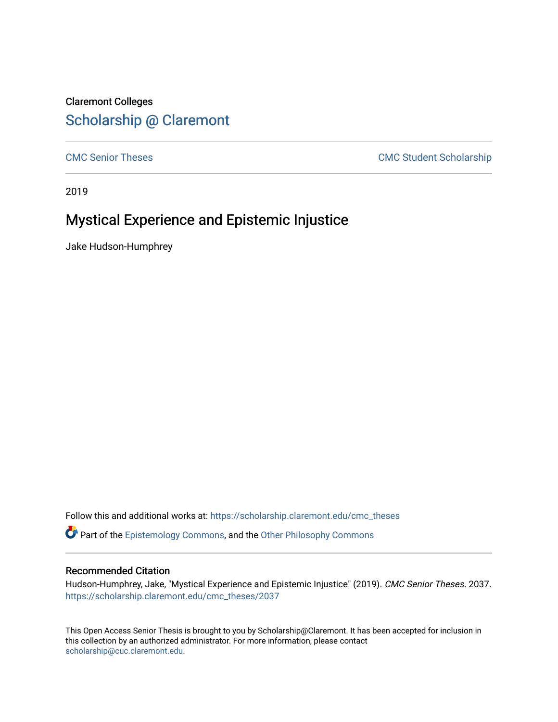## Claremont Colleges [Scholarship @ Claremont](https://scholarship.claremont.edu/)

[CMC Senior Theses](https://scholarship.claremont.edu/cmc_theses) CMC Student Scholarship

2019

# Mystical Experience and Epistemic Injustice

Jake Hudson-Humphrey

Follow this and additional works at: [https://scholarship.claremont.edu/cmc\\_theses](https://scholarship.claremont.edu/cmc_theses?utm_source=scholarship.claremont.edu%2Fcmc_theses%2F2037&utm_medium=PDF&utm_campaign=PDFCoverPages) 

Part of the [Epistemology Commons](http://network.bepress.com/hgg/discipline/527?utm_source=scholarship.claremont.edu%2Fcmc_theses%2F2037&utm_medium=PDF&utm_campaign=PDFCoverPages), and the [Other Philosophy Commons](http://network.bepress.com/hgg/discipline/537?utm_source=scholarship.claremont.edu%2Fcmc_theses%2F2037&utm_medium=PDF&utm_campaign=PDFCoverPages) 

## Recommended Citation

Hudson-Humphrey, Jake, "Mystical Experience and Epistemic Injustice" (2019). CMC Senior Theses. 2037. [https://scholarship.claremont.edu/cmc\\_theses/2037](https://scholarship.claremont.edu/cmc_theses/2037?utm_source=scholarship.claremont.edu%2Fcmc_theses%2F2037&utm_medium=PDF&utm_campaign=PDFCoverPages) 

This Open Access Senior Thesis is brought to you by Scholarship@Claremont. It has been accepted for inclusion in this collection by an authorized administrator. For more information, please contact [scholarship@cuc.claremont.edu.](mailto:scholarship@cuc.claremont.edu)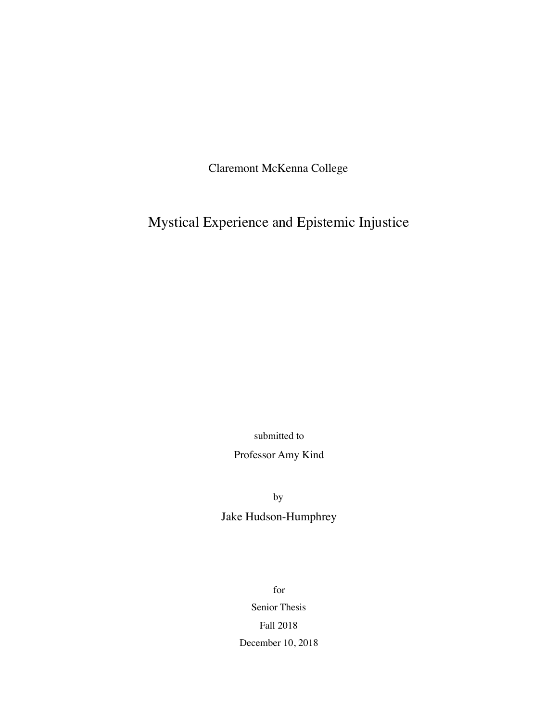Claremont McKenna College

Mystical Experience and Epistemic Injustice

submitted to

Professor Amy Kind

by Jake Hudson-Humphrey

> for Senior Thesis Fall 2018 December 10, 2018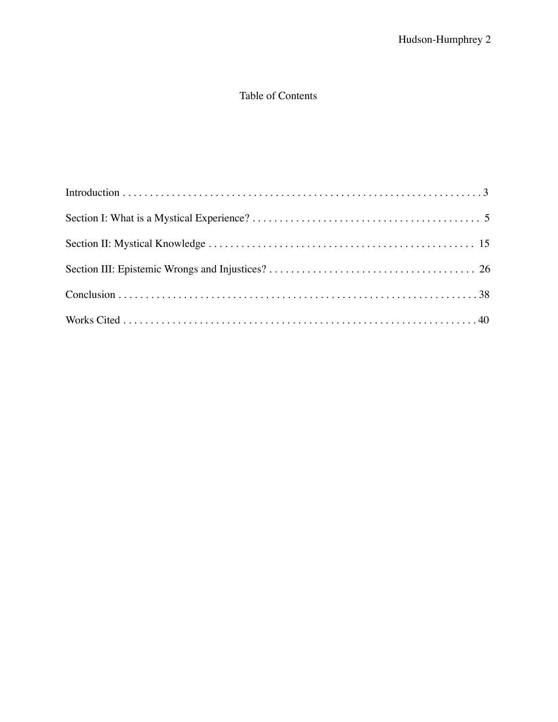## Table of Contents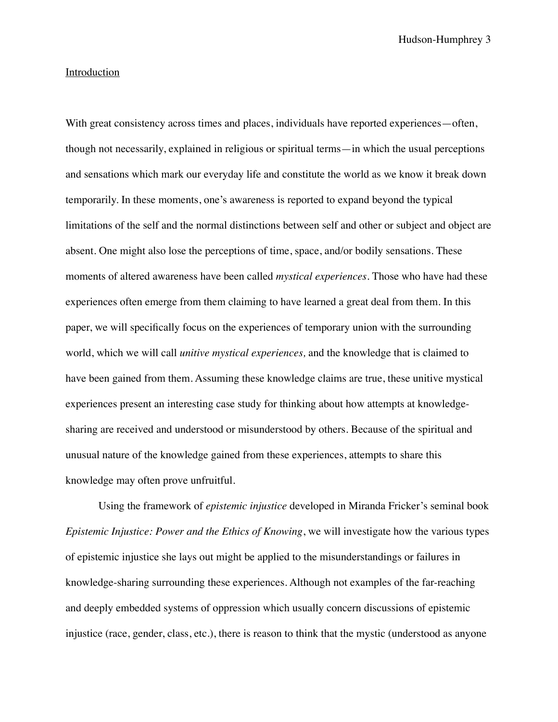Hudson-Humphrey 3

### Introduction

With great consistency across times and places, individuals have reported experiences—often, though not necessarily, explained in religious or spiritual terms—in which the usual perceptions and sensations which mark our everyday life and constitute the world as we know it break down temporarily. In these moments, one's awareness is reported to expand beyond the typical limitations of the self and the normal distinctions between self and other or subject and object are absent. One might also lose the perceptions of time, space, and/or bodily sensations. These moments of altered awareness have been called *mystical experiences.* Those who have had these experiences often emerge from them claiming to have learned a great deal from them. In this paper, we will specifically focus on the experiences of temporary union with the surrounding world, which we will call *unitive mystical experiences,* and the knowledge that is claimed to have been gained from them. Assuming these knowledge claims are true, these unitive mystical experiences present an interesting case study for thinking about how attempts at knowledgesharing are received and understood or misunderstood by others. Because of the spiritual and unusual nature of the knowledge gained from these experiences, attempts to share this knowledge may often prove unfruitful.

Using the framework of *epistemic injustice* developed in Miranda Fricker's seminal book *Epistemic Injustice: Power and the Ethics of Knowing*, we will investigate how the various types of epistemic injustice she lays out might be applied to the misunderstandings or failures in knowledge-sharing surrounding these experiences. Although not examples of the far-reaching and deeply embedded systems of oppression which usually concern discussions of epistemic injustice (race, gender, class, etc.), there is reason to think that the mystic (understood as anyone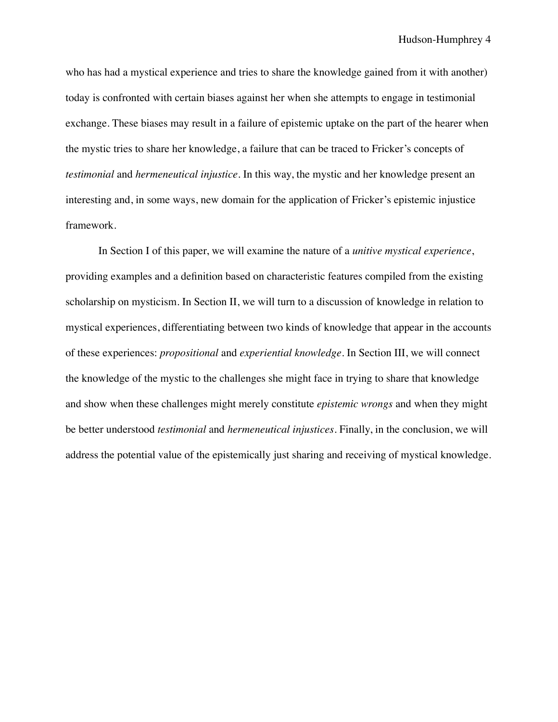who has had a mystical experience and tries to share the knowledge gained from it with another) today is confronted with certain biases against her when she attempts to engage in testimonial exchange. These biases may result in a failure of epistemic uptake on the part of the hearer when the mystic tries to share her knowledge, a failure that can be traced to Fricker's concepts of *testimonial* and *hermeneutical injustice*. In this way, the mystic and her knowledge present an interesting and, in some ways, new domain for the application of Fricker's epistemic injustice framework.

In Section I of this paper, we will examine the nature of a *unitive mystical experience*, providing examples and a definition based on characteristic features compiled from the existing scholarship on mysticism. In Section II, we will turn to a discussion of knowledge in relation to mystical experiences, differentiating between two kinds of knowledge that appear in the accounts of these experiences: *propositional* and *experiential knowledge*. In Section III, we will connect the knowledge of the mystic to the challenges she might face in trying to share that knowledge and show when these challenges might merely constitute *epistemic wrongs* and when they might be better understood *testimonial* and *hermeneutical injustices*. Finally, in the conclusion, we will address the potential value of the epistemically just sharing and receiving of mystical knowledge.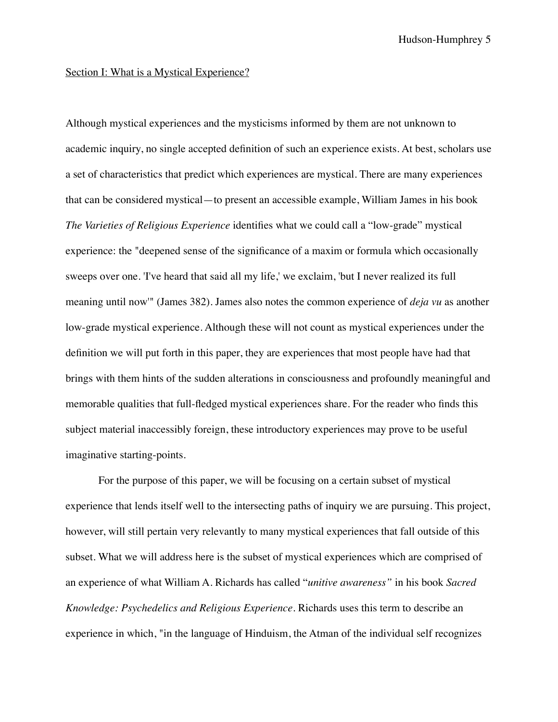## Section I: What is a Mystical Experience?

Although mystical experiences and the mysticisms informed by them are not unknown to academic inquiry, no single accepted definition of such an experience exists. At best, scholars use a set of characteristics that predict which experiences are mystical. There are many experiences that can be considered mystical—to present an accessible example, William James in his book *The Varieties of Religious Experience* identifies what we could call a "low-grade" mystical experience: the "deepened sense of the significance of a maxim or formula which occasionally sweeps over one. 'I've heard that said all my life,' we exclaim, 'but I never realized its full meaning until now'" (James 382). James also notes the common experience of *deja vu* as another low-grade mystical experience. Although these will not count as mystical experiences under the definition we will put forth in this paper, they are experiences that most people have had that brings with them hints of the sudden alterations in consciousness and profoundly meaningful and memorable qualities that full-fledged mystical experiences share. For the reader who finds this subject material inaccessibly foreign, these introductory experiences may prove to be useful imaginative starting-points.

For the purpose of this paper, we will be focusing on a certain subset of mystical experience that lends itself well to the intersecting paths of inquiry we are pursuing. This project, however, will still pertain very relevantly to many mystical experiences that fall outside of this subset. What we will address here is the subset of mystical experiences which are comprised of an experience of what William A. Richards has called "*unitive awareness"* in his book *Sacred Knowledge: Psychedelics and Religious Experience.* Richards uses this term to describe an experience in which, "in the language of Hinduism, the Atman of the individual self recognizes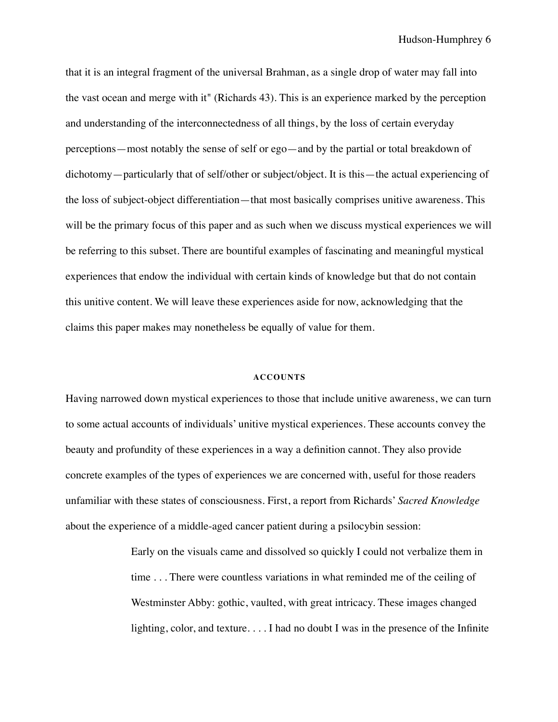Hudson-Humphrey 6

that it is an integral fragment of the universal Brahman, as a single drop of water may fall into the vast ocean and merge with it" (Richards 43). This is an experience marked by the perception and understanding of the interconnectedness of all things, by the loss of certain everyday perceptions—most notably the sense of self or ego—and by the partial or total breakdown of dichotomy—particularly that of self/other or subject/object. It is this—the actual experiencing of the loss of subject-object differentiation—that most basically comprises unitive awareness. This will be the primary focus of this paper and as such when we discuss mystical experiences we will be referring to this subset. There are bountiful examples of fascinating and meaningful mystical experiences that endow the individual with certain kinds of knowledge but that do not contain this unitive content. We will leave these experiences aside for now, acknowledging that the claims this paper makes may nonetheless be equally of value for them.

#### **ACCOUNTS**

Having narrowed down mystical experiences to those that include unitive awareness, we can turn to some actual accounts of individuals' unitive mystical experiences. These accounts convey the beauty and profundity of these experiences in a way a definition cannot. They also provide concrete examples of the types of experiences we are concerned with, useful for those readers unfamiliar with these states of consciousness. First, a report from Richards' *Sacred Knowledge* about the experience of a middle-aged cancer patient during a psilocybin session:

> Early on the visuals came and dissolved so quickly I could not verbalize them in time . . . There were countless variations in what reminded me of the ceiling of Westminster Abby: gothic, vaulted, with great intricacy. These images changed lighting, color, and texture. . . . I had no doubt I was in the presence of the Infinite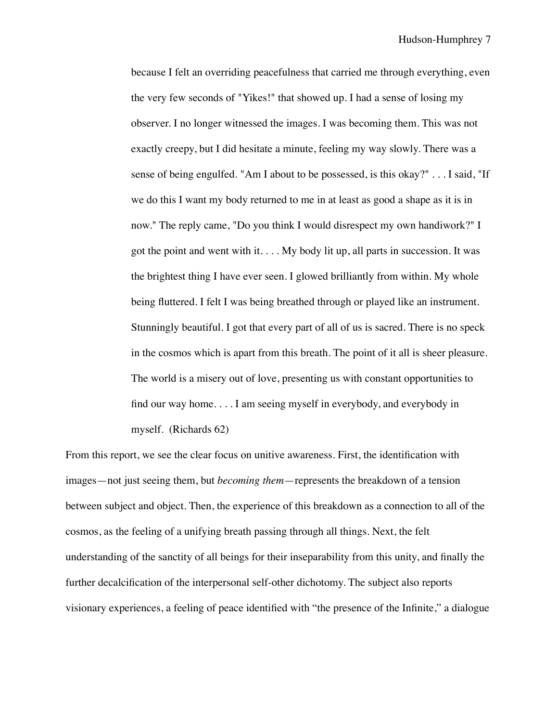because I felt an overriding peacefulness that carried me through everything, even the very few seconds of "Yikes!" that showed up. I had a sense of losing my observer. I no longer witnessed the images. I was becoming them. This was not exactly creepy, but I did hesitate a minute, feeling my way slowly. There was a sense of being engulfed. "Am I about to be possessed, is this okay?" . . . I said, "If we do this I want my body returned to me in at least as good a shape as it is in now." The reply came, "Do you think I would disrespect my own handiwork?" I got the point and went with it.  $\dots$  My body lit up, all parts in succession. It was the brightest thing I have ever seen. I glowed brilliantly from within. My whole being fluttered. I felt I was being breathed through or played like an instrument. Stunningly beautiful. I got that every part of all of us is sacred. There is no speck in the cosmos which is apart from this breath. The point of it all is sheer pleasure. The world is a misery out of love, presenting us with constant opportunities to find our way home. . . . I am seeing myself in everybody, and everybody in myself. (Richards 62)

From this report, we see the clear focus on unitive awareness. First, the identification with images—not just seeing them, but *becoming them*—represents the breakdown of a tension between subject and object. Then, the experience of this breakdown as a connection to all of the cosmos, as the feeling of a unifying breath passing through all things. Next, the felt understanding of the sanctity of all beings for their inseparability from this unity, and finally the further decalcification of the interpersonal self-other dichotomy. The subject also reports visionary experiences, a feeling of peace identified with "the presence of the Infinite," a dialogue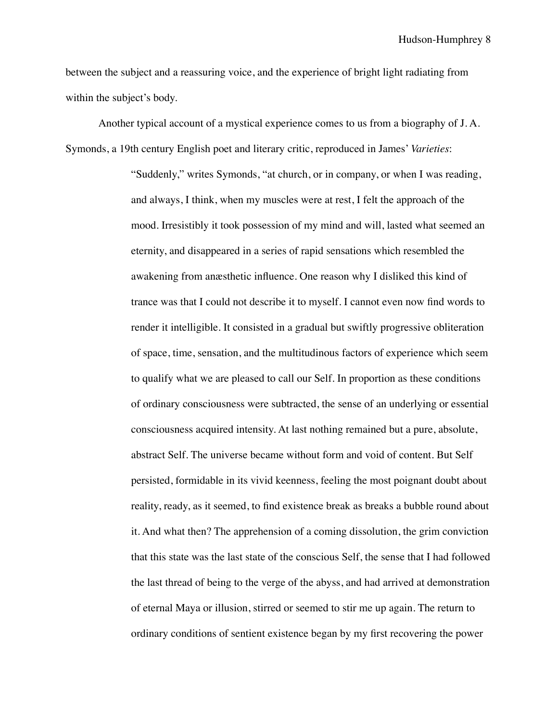Hudson-Humphrey 8

between the subject and a reassuring voice, and the experience of bright light radiating from within the subject's body.

Another typical account of a mystical experience comes to us from a biography of J. A. Symonds, a 19th century English poet and literary critic, reproduced in James' *Varieties*:

> "Suddenly," writes Symonds, "at church, or in company, or when I was reading, and always, I think, when my muscles were at rest, I felt the approach of the mood. Irresistibly it took possession of my mind and will, lasted what seemed an eternity, and disappeared in a series of rapid sensations which resembled the awakening from anæsthetic influence. One reason why I disliked this kind of trance was that I could not describe it to myself. I cannot even now find words to render it intelligible. It consisted in a gradual but swiftly progressive obliteration of space, time, sensation, and the multitudinous factors of experience which seem to qualify what we are pleased to call our Self. In proportion as these conditions of ordinary consciousness were subtracted, the sense of an underlying or essential consciousness acquired intensity. At last nothing remained but a pure, absolute, abstract Self. The universe became without form and void of content. But Self persisted, formidable in its vivid keenness, feeling the most poignant doubt about reality, ready, as it seemed, to find existence break as breaks a bubble round about it. And what then? The apprehension of a coming dissolution, the grim conviction that this state was the last state of the conscious Self, the sense that I had followed the last thread of being to the verge of the abyss, and had arrived at demonstration of eternal Maya or illusion, stirred or seemed to stir me up again. The return to ordinary conditions of sentient existence began by my first recovering the power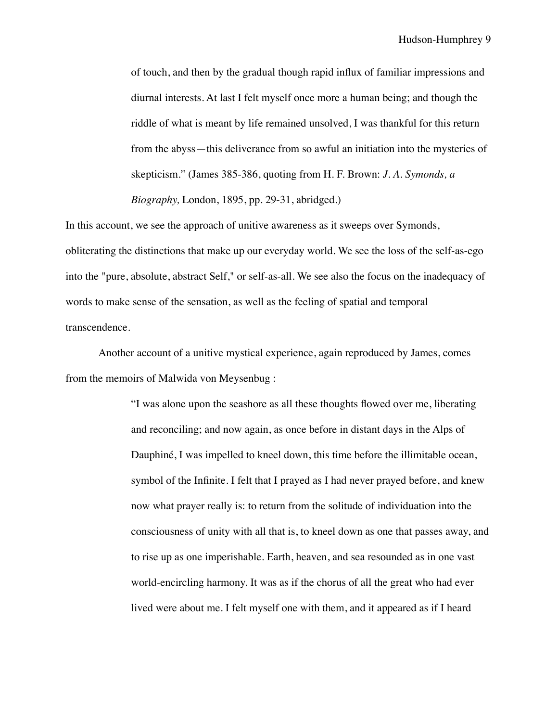of touch, and then by the gradual though rapid influx of familiar impressions and diurnal interests. At last I felt myself once more a human being; and though the riddle of what is meant by life remained unsolved, I was thankful for this return from the abyss—this deliverance from so awful an initiation into the mysteries of skepticism." (James 385-386, quoting from H. F. Brown: *J. A. Symonds, a Biography,* London, 1895, pp. 29-31, abridged.)

In this account, we see the approach of unitive awareness as it sweeps over Symonds, obliterating the distinctions that make up our everyday world. We see the loss of the self-as-ego into the "pure, absolute, abstract Self," or self-as-all. We see also the focus on the inadequacy of words to make sense of the sensation, as well as the feeling of spatial and temporal transcendence.

Another account of a unitive mystical experience, again reproduced by James, comes from the memoirs of Malwida von Meysenbug :

> "I was alone upon the seashore as all these thoughts flowed over me, liberating and reconciling; and now again, as once before in distant days in the Alps of Dauphiné, I was impelled to kneel down, this time before the illimitable ocean, symbol of the Infinite. I felt that I prayed as I had never prayed before, and knew now what prayer really is: to return from the solitude of individuation into the consciousness of unity with all that is, to kneel down as one that passes away, and to rise up as one imperishable. Earth, heaven, and sea resounded as in one vast world-encircling harmony. It was as if the chorus of all the great who had ever lived were about me. I felt myself one with them, and it appeared as if I heard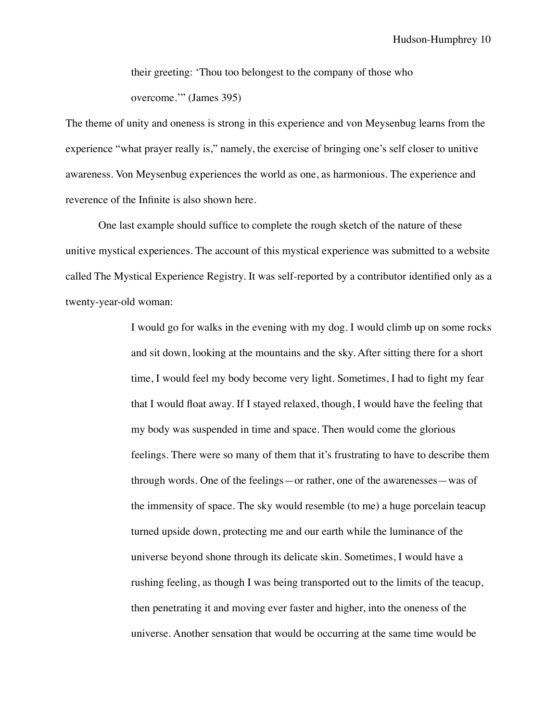their greeting: 'Thou too belongest to the company of those who overcome.'" (James 395)

The theme of unity and oneness is strong in this experience and von Meysenbug learns from the experience "what prayer really is," namely, the exercise of bringing one's self closer to unitive awareness. Von Meysenbug experiences the world as one, as harmonious. The experience and reverence of the Infinite is also shown here.

One last example should suffice to complete the rough sketch of the nature of these unitive mystical experiences. The account of this mystical experience was submitted to a website called The Mystical Experience Registry. It was self-reported by a contributor identified only as a twenty-year-old woman:

> I would go for walks in the evening with my dog. I would climb up on some rocks and sit down, looking at the mountains and the sky. After sitting there for a short time, I would feel my body become very light. Sometimes, I had to fight my fear that I would float away. If I stayed relaxed, though, I would have the feeling that my body was suspended in time and space. Then would come the glorious feelings. There were so many of them that it's frustrating to have to describe them through words. One of the feelings—or rather, one of the awarenesses—was of the immensity of space. The sky would resemble (to me) a huge porcelain teacup turned upside down, protecting me and our earth while the luminance of the universe beyond shone through its delicate skin. Sometimes, I would have a rushing feeling, as though I was being transported out to the limits of the teacup, then penetrating it and moving ever faster and higher, into the oneness of the universe. Another sensation that would be occurring at the same time would be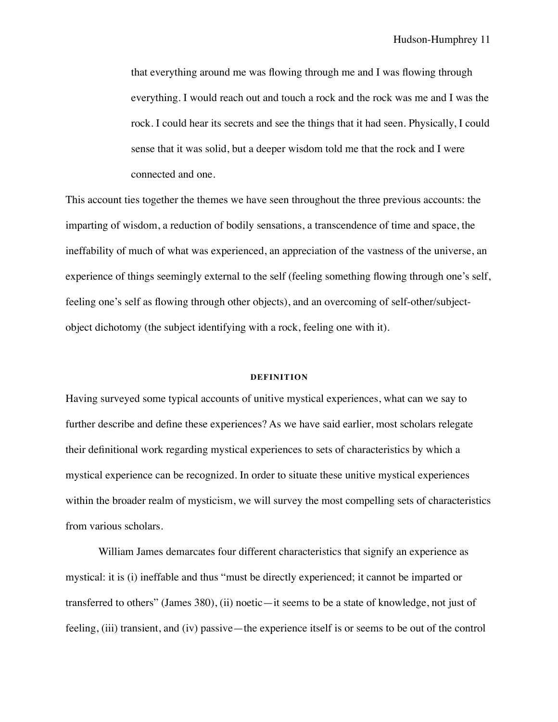that everything around me was flowing through me and I was flowing through everything. I would reach out and touch a rock and the rock was me and I was the rock. I could hear its secrets and see the things that it had seen. Physically, I could sense that it was solid, but a deeper wisdom told me that the rock and I were connected and one.

This account ties together the themes we have seen throughout the three previous accounts: the imparting of wisdom, a reduction of bodily sensations, a transcendence of time and space, the ineffability of much of what was experienced, an appreciation of the vastness of the universe, an experience of things seemingly external to the self (feeling something flowing through one's self, feeling one's self as flowing through other objects), and an overcoming of self-other/subjectobject dichotomy (the subject identifying with a rock, feeling one with it).

#### **DEFINITION**

Having surveyed some typical accounts of unitive mystical experiences, what can we say to further describe and define these experiences? As we have said earlier, most scholars relegate their definitional work regarding mystical experiences to sets of characteristics by which a mystical experience can be recognized. In order to situate these unitive mystical experiences within the broader realm of mysticism, we will survey the most compelling sets of characteristics from various scholars.

William James demarcates four different characteristics that signify an experience as mystical: it is (i) ineffable and thus "must be directly experienced; it cannot be imparted or transferred to others" (James 380), (ii) noetic—it seems to be a state of knowledge, not just of feeling, (iii) transient, and (iv) passive—the experience itself is or seems to be out of the control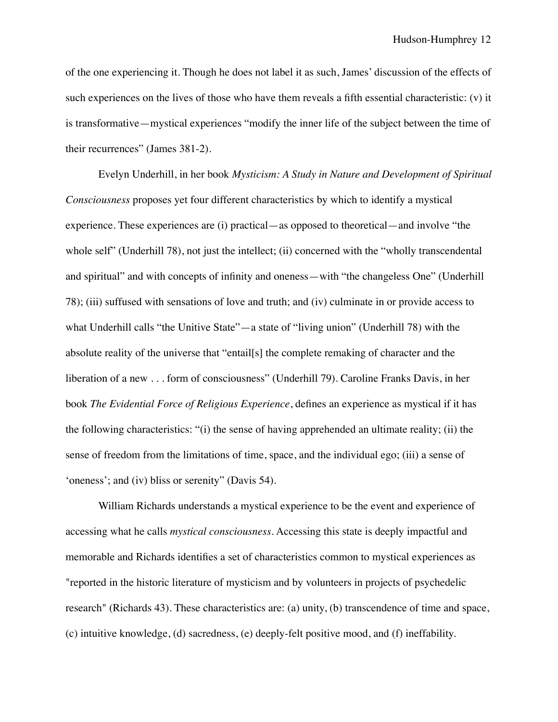of the one experiencing it. Though he does not label it as such, James' discussion of the effects of such experiences on the lives of those who have them reveals a fifth essential characteristic: (v) it is transformative—mystical experiences "modify the inner life of the subject between the time of their recurrences" (James 381-2).

Evelyn Underhill, in her book *Mysticism: A Study in Nature and Development of Spiritual Consciousness* proposes yet four different characteristics by which to identify a mystical experience. These experiences are (i) practical—as opposed to theoretical—and involve "the whole self" (Underhill 78), not just the intellect; (ii) concerned with the "wholly transcendental and spiritual" and with concepts of infinity and oneness—with "the changeless One" (Underhill 78); (iii) suffused with sensations of love and truth; and (iv) culminate in or provide access to what Underhill calls "the Unitive State"—a state of "living union" (Underhill 78) with the absolute reality of the universe that "entail[s] the complete remaking of character and the liberation of a new . . . form of consciousness" (Underhill 79). Caroline Franks Davis, in her book *The Evidential Force of Religious Experience*, defines an experience as mystical if it has the following characteristics: "(i) the sense of having apprehended an ultimate reality; (ii) the sense of freedom from the limitations of time, space, and the individual ego; (iii) a sense of 'oneness'; and (iv) bliss or serenity" (Davis 54).

William Richards understands a mystical experience to be the event and experience of accessing what he calls *mystical consciousness*. Accessing this state is deeply impactful and memorable and Richards identifies a set of characteristics common to mystical experiences as "reported in the historic literature of mysticism and by volunteers in projects of psychedelic research" (Richards 43). These characteristics are: (a) unity, (b) transcendence of time and space, (c) intuitive knowledge, (d) sacredness, (e) deeply-felt positive mood, and (f) ineffability.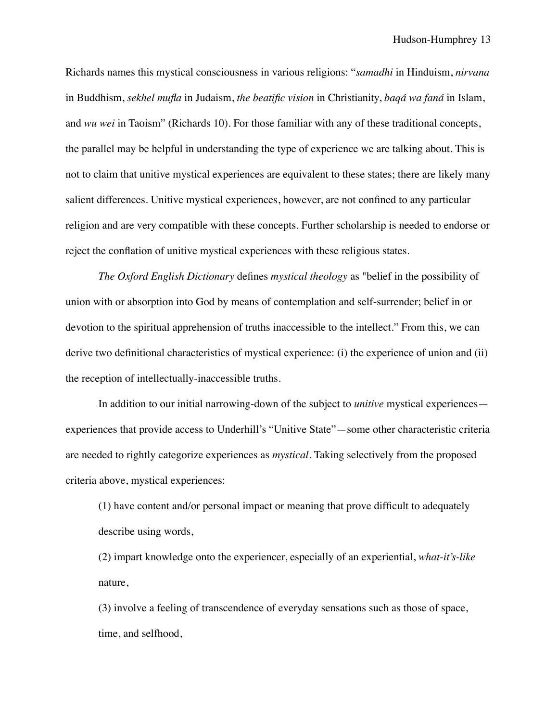Richards names this mystical consciousness in various religions: "*samadhi* in Hinduism, *nirvana* in Buddhism, *sekhel mufla* in Judaism, *the beatific vision* in Christianity, *baqá wa faná* in Islam, and *wu wei* in Taoism" (Richards 10). For those familiar with any of these traditional concepts, the parallel may be helpful in understanding the type of experience we are talking about. This is not to claim that unitive mystical experiences are equivalent to these states; there are likely many salient differences. Unitive mystical experiences, however, are not confined to any particular religion and are very compatible with these concepts. Further scholarship is needed to endorse or reject the conflation of unitive mystical experiences with these religious states.

*The Oxford English Dictionary* defines *mystical theology* as "belief in the possibility of union with or absorption into God by means of contemplation and self-surrender; belief in or devotion to the spiritual apprehension of truths inaccessible to the intellect." From this, we can derive two definitional characteristics of mystical experience: (i) the experience of union and (ii) the reception of intellectually-inaccessible truths.

In addition to our initial narrowing-down of the subject to *unitive* mystical experiences experiences that provide access to Underhill's "Unitive State"—some other characteristic criteria are needed to rightly categorize experiences as *mystical*. Taking selectively from the proposed criteria above, mystical experiences:

(1) have content and/or personal impact or meaning that prove difficult to adequately describe using words,

(2) impart knowledge onto the experiencer, especially of an experiential, *what-it's-like*  nature,

(3) involve a feeling of transcendence of everyday sensations such as those of space, time, and selfhood,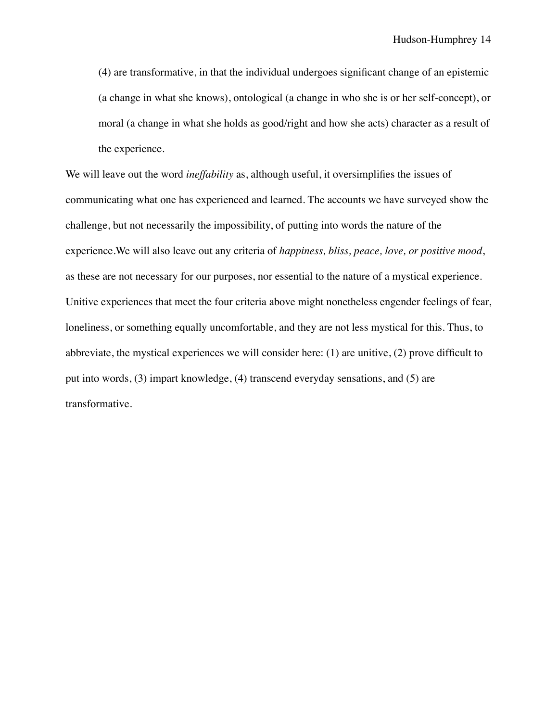(4) are transformative, in that the individual undergoes significant change of an epistemic (a change in what she knows), ontological (a change in who she is or her self-concept), or moral (a change in what she holds as good/right and how she acts) character as a result of the experience.

We will leave out the word *ineffability* as, although useful, it oversimplifies the issues of communicating what one has experienced and learned. The accounts we have surveyed show the challenge, but not necessarily the impossibility, of putting into words the nature of the experience.We will also leave out any criteria of *happiness, bliss, peace, love, or positive mood*, as these are not necessary for our purposes, nor essential to the nature of a mystical experience. Unitive experiences that meet the four criteria above might nonetheless engender feelings of fear, loneliness, or something equally uncomfortable, and they are not less mystical for this. Thus, to abbreviate, the mystical experiences we will consider here: (1) are unitive, (2) prove difficult to put into words, (3) impart knowledge, (4) transcend everyday sensations, and (5) are transformative.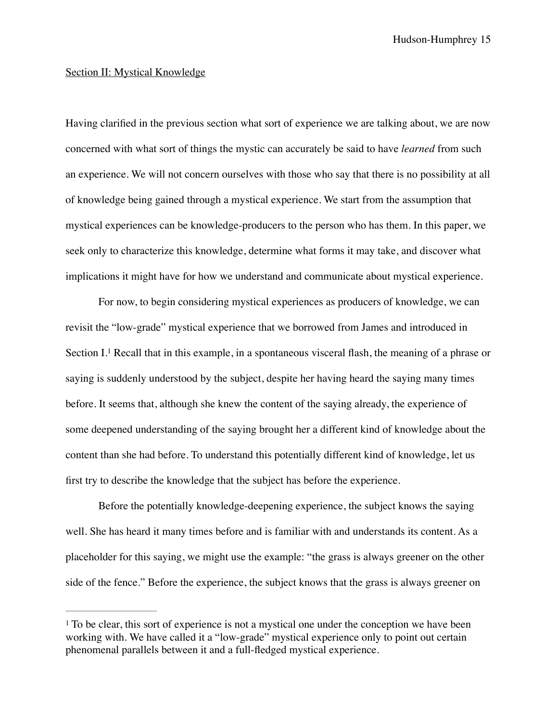### Section II: Mystical Knowledge

Having clarified in the previous section what sort of experience we are talking about, we are now concerned with what sort of things the mystic can accurately be said to have *learned* from such an experience. We will not concern ourselves with those who say that there is no possibility at all of knowledge being gained through a mystical experience. We start from the assumption that mystical experiences can be knowledge-producers to the person who has them. In this paper, we seek only to characterize this knowledge, determine what forms it may take, and discover what implications it might have for how we understand and communicate about mystical experience.

<span id="page-16-1"></span>For now, to begin considering mystical experiences as producers of knowledge, we can revisit the "low-grade" mystical experience that we borrowed from James and introduced in Section $I<sup>1</sup>$  $I<sup>1</sup>$  $I<sup>1</sup>$  Recall that in this example, in a spontaneous visceral flash, the meaning of a phrase or saying is suddenly understood by the subject, despite her having heard the saying many times before. It seems that, although she knew the content of the saying already, the experience of some deepened understanding of the saying brought her a different kind of knowledge about the content than she had before. To understand this potentially different kind of knowledge, let us first try to describe the knowledge that the subject has before the experience.

Before the potentially knowledge-deepening experience, the subject knows the saying well. She has heard it many times before and is familiar with and understands its content. As a placeholder for this saying, we might use the example: "the grass is always greener on the other side of the fence." Before the experience, the subject knows that the grass is always greener on

<span id="page-16-0"></span> $1$  To be clear, this sort of experience is not a mystical one under the conception we have been working with. We have called it a "low-grade" mystical experience only to point out certain phenomenal parallels between it and a full-fledged mystical experience.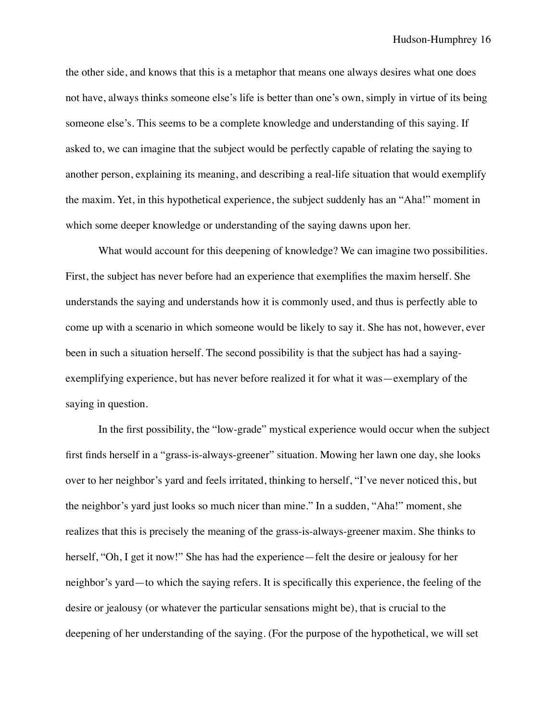the other side, and knows that this is a metaphor that means one always desires what one does not have, always thinks someone else's life is better than one's own, simply in virtue of its being someone else's. This seems to be a complete knowledge and understanding of this saying. If asked to, we can imagine that the subject would be perfectly capable of relating the saying to another person, explaining its meaning, and describing a real-life situation that would exemplify the maxim. Yet, in this hypothetical experience, the subject suddenly has an "Aha!" moment in which some deeper knowledge or understanding of the saying dawns upon her.

What would account for this deepening of knowledge? We can imagine two possibilities. First, the subject has never before had an experience that exemplifies the maxim herself. She understands the saying and understands how it is commonly used, and thus is perfectly able to come up with a scenario in which someone would be likely to say it. She has not, however, ever been in such a situation herself. The second possibility is that the subject has had a sayingexemplifying experience, but has never before realized it for what it was—exemplary of the saying in question.

In the first possibility, the "low-grade" mystical experience would occur when the subject first finds herself in a "grass-is-always-greener" situation. Mowing her lawn one day, she looks over to her neighbor's yard and feels irritated, thinking to herself, "I've never noticed this, but the neighbor's yard just looks so much nicer than mine." In a sudden, "Aha!" moment, she realizes that this is precisely the meaning of the grass-is-always-greener maxim. She thinks to herself, "Oh, I get it now!" She has had the experience—felt the desire or jealousy for her neighbor's yard—to which the saying refers. It is specifically this experience, the feeling of the desire or jealousy (or whatever the particular sensations might be), that is crucial to the deepening of her understanding of the saying. (For the purpose of the hypothetical, we will set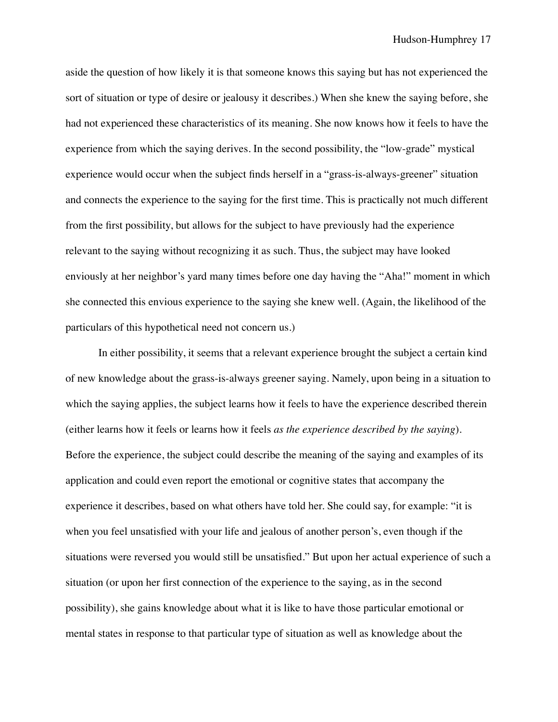aside the question of how likely it is that someone knows this saying but has not experienced the sort of situation or type of desire or jealousy it describes.) When she knew the saying before, she had not experienced these characteristics of its meaning. She now knows how it feels to have the experience from which the saying derives. In the second possibility, the "low-grade" mystical experience would occur when the subject finds herself in a "grass-is-always-greener" situation and connects the experience to the saying for the first time. This is practically not much different from the first possibility, but allows for the subject to have previously had the experience relevant to the saying without recognizing it as such. Thus, the subject may have looked enviously at her neighbor's yard many times before one day having the "Aha!" moment in which she connected this envious experience to the saying she knew well. (Again, the likelihood of the particulars of this hypothetical need not concern us.)

In either possibility, it seems that a relevant experience brought the subject a certain kind of new knowledge about the grass-is-always greener saying. Namely, upon being in a situation to which the saying applies, the subject learns how it feels to have the experience described therein (either learns how it feels or learns how it feels *as the experience described by the saying*). Before the experience, the subject could describe the meaning of the saying and examples of its application and could even report the emotional or cognitive states that accompany the experience it describes, based on what others have told her. She could say, for example: "it is when you feel unsatisfied with your life and jealous of another person's, even though if the situations were reversed you would still be unsatisfied." But upon her actual experience of such a situation (or upon her first connection of the experience to the saying, as in the second possibility), she gains knowledge about what it is like to have those particular emotional or mental states in response to that particular type of situation as well as knowledge about the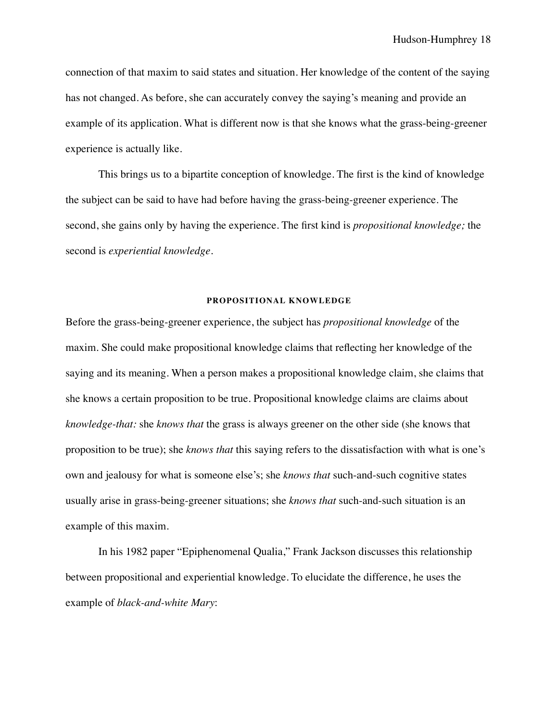connection of that maxim to said states and situation. Her knowledge of the content of the saying has not changed. As before, she can accurately convey the saying's meaning and provide an example of its application. What is different now is that she knows what the grass-being-greener experience is actually like.

This brings us to a bipartite conception of knowledge. The first is the kind of knowledge the subject can be said to have had before having the grass-being-greener experience. The second, she gains only by having the experience. The first kind is *propositional knowledge;* the second is *experiential knowledge*.

## **PROPOSITIONAL KNOWLEDGE**

Before the grass-being-greener experience, the subject has *propositional knowledge* of the maxim. She could make propositional knowledge claims that reflecting her knowledge of the saying and its meaning. When a person makes a propositional knowledge claim, she claims that she knows a certain proposition to be true. Propositional knowledge claims are claims about *knowledge-that:* she *knows that* the grass is always greener on the other side (she knows that proposition to be true); she *knows that* this saying refers to the dissatisfaction with what is one's own and jealousy for what is someone else's; she *knows that* such-and-such cognitive states usually arise in grass-being-greener situations; she *knows that* such-and-such situation is an example of this maxim.

In his 1982 paper "Epiphenomenal Qualia," Frank Jackson discusses this relationship between propositional and experiential knowledge. To elucidate the difference, he uses the example of *black-and-white Mary*: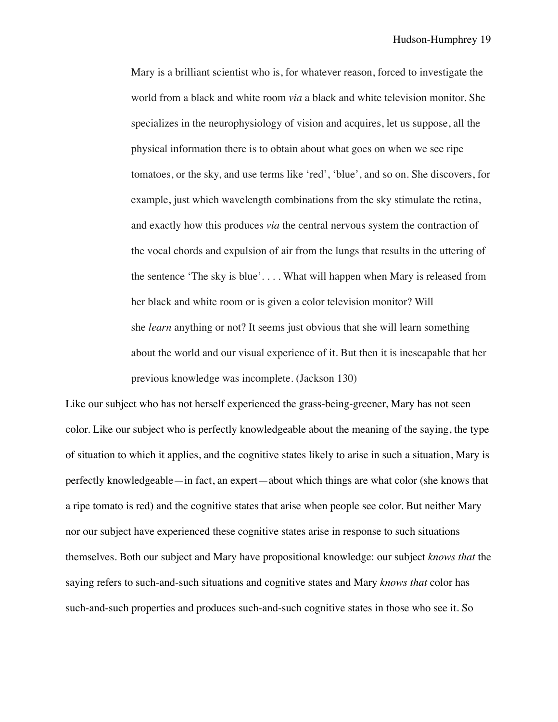Mary is a brilliant scientist who is, for whatever reason, forced to investigate the world from a black and white room *via* a black and white television monitor. She specializes in the neurophysiology of vision and acquires, let us suppose, all the physical information there is to obtain about what goes on when we see ripe tomatoes, or the sky, and use terms like 'red', 'blue', and so on. She discovers, for example, just which wavelength combinations from the sky stimulate the retina, and exactly how this produces *via* the central nervous system the contraction of the vocal chords and expulsion of air from the lungs that results in the uttering of the sentence 'The sky is blue'. . . . What will happen when Mary is released from her black and white room or is given a color television monitor? Will she *learn* anything or not? It seems just obvious that she will learn something about the world and our visual experience of it. But then it is inescapable that her previous knowledge was incomplete. (Jackson 130)

Like our subject who has not herself experienced the grass-being-greener, Mary has not seen color. Like our subject who is perfectly knowledgeable about the meaning of the saying, the type of situation to which it applies, and the cognitive states likely to arise in such a situation, Mary is perfectly knowledgeable—in fact, an expert—about which things are what color (she knows that a ripe tomato is red) and the cognitive states that arise when people see color. But neither Mary nor our subject have experienced these cognitive states arise in response to such situations themselves. Both our subject and Mary have propositional knowledge: our subject *knows that* the saying refers to such-and-such situations and cognitive states and Mary *knows that* color has such-and-such properties and produces such-and-such cognitive states in those who see it. So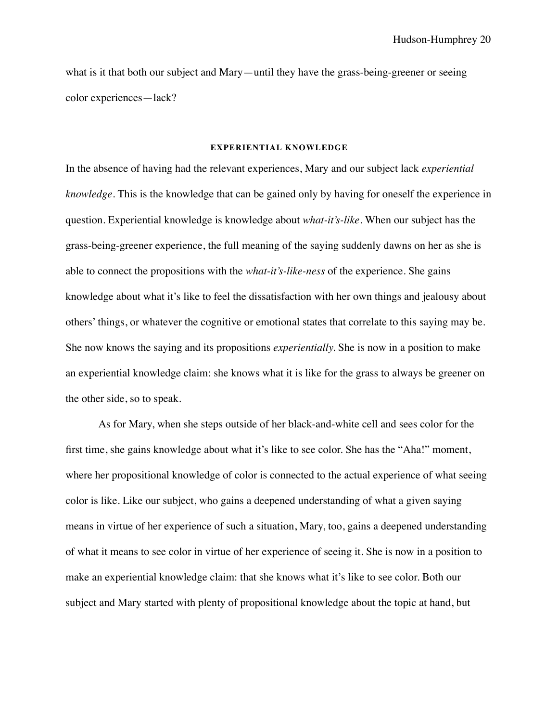what is it that both our subject and Mary—until they have the grass-being-greener or seeing color experiences—lack?

#### **EXPERIENTIAL KNOWLEDGE**

In the absence of having had the relevant experiences, Mary and our subject lack *experiential knowledge*. This is the knowledge that can be gained only by having for oneself the experience in question. Experiential knowledge is knowledge about *what-it's-like.* When our subject has the grass-being-greener experience, the full meaning of the saying suddenly dawns on her as she is able to connect the propositions with the *what-it's-like-ness* of the experience. She gains knowledge about what it's like to feel the dissatisfaction with her own things and jealousy about others' things, or whatever the cognitive or emotional states that correlate to this saying may be. She now knows the saying and its propositions *experientially.* She is now in a position to make an experiential knowledge claim: she knows what it is like for the grass to always be greener on the other side, so to speak.

As for Mary, when she steps outside of her black-and-white cell and sees color for the first time, she gains knowledge about what it's like to see color. She has the "Aha!" moment, where her propositional knowledge of color is connected to the actual experience of what seeing color is like. Like our subject, who gains a deepened understanding of what a given saying means in virtue of her experience of such a situation, Mary, too, gains a deepened understanding of what it means to see color in virtue of her experience of seeing it. She is now in a position to make an experiential knowledge claim: that she knows what it's like to see color. Both our subject and Mary started with plenty of propositional knowledge about the topic at hand, but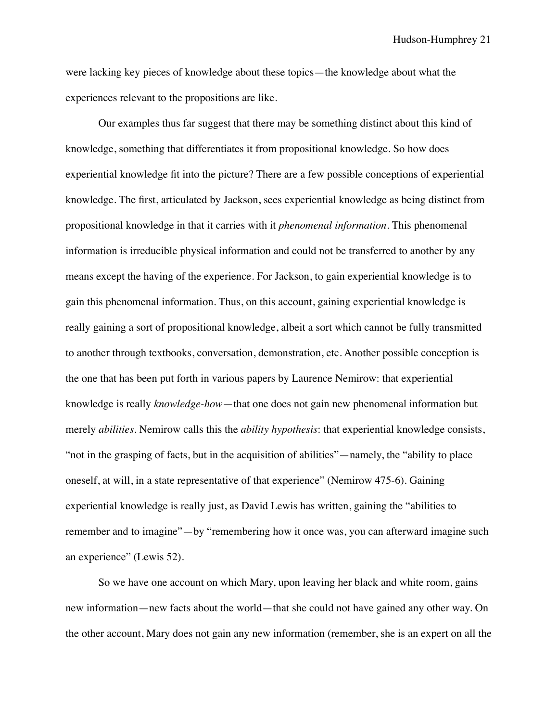were lacking key pieces of knowledge about these topics—the knowledge about what the experiences relevant to the propositions are like.

Our examples thus far suggest that there may be something distinct about this kind of knowledge, something that differentiates it from propositional knowledge. So how does experiential knowledge fit into the picture? There are a few possible conceptions of experiential knowledge. The first, articulated by Jackson, sees experiential knowledge as being distinct from propositional knowledge in that it carries with it *phenomenal information*. This phenomenal information is irreducible physical information and could not be transferred to another by any means except the having of the experience. For Jackson, to gain experiential knowledge is to gain this phenomenal information. Thus, on this account, gaining experiential knowledge is really gaining a sort of propositional knowledge, albeit a sort which cannot be fully transmitted to another through textbooks, conversation, demonstration, etc. Another possible conception is the one that has been put forth in various papers by Laurence Nemirow: that experiential knowledge is really *knowledge-how*—that one does not gain new phenomenal information but merely *abilities*. Nemirow calls this the *ability hypothesis*: that experiential knowledge consists, "not in the grasping of facts, but in the acquisition of abilities"—namely, the "ability to place oneself, at will, in a state representative of that experience" (Nemirow 475-6). Gaining experiential knowledge is really just, as David Lewis has written, gaining the "abilities to remember and to imagine"—by "remembering how it once was, you can afterward imagine such an experience" (Lewis 52).

So we have one account on which Mary, upon leaving her black and white room, gains new information—new facts about the world—that she could not have gained any other way. On the other account, Mary does not gain any new information (remember, she is an expert on all the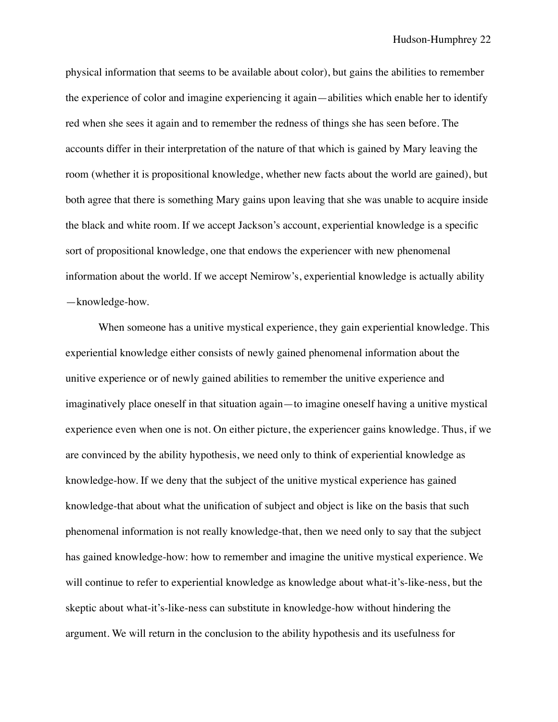physical information that seems to be available about color), but gains the abilities to remember the experience of color and imagine experiencing it again—abilities which enable her to identify red when she sees it again and to remember the redness of things she has seen before. The accounts differ in their interpretation of the nature of that which is gained by Mary leaving the room (whether it is propositional knowledge, whether new facts about the world are gained), but both agree that there is something Mary gains upon leaving that she was unable to acquire inside the black and white room. If we accept Jackson's account, experiential knowledge is a specific sort of propositional knowledge, one that endows the experiencer with new phenomenal information about the world. If we accept Nemirow's, experiential knowledge is actually ability —knowledge-how.

When someone has a unitive mystical experience, they gain experiential knowledge. This experiential knowledge either consists of newly gained phenomenal information about the unitive experience or of newly gained abilities to remember the unitive experience and imaginatively place oneself in that situation again—to imagine oneself having a unitive mystical experience even when one is not. On either picture, the experiencer gains knowledge. Thus, if we are convinced by the ability hypothesis, we need only to think of experiential knowledge as knowledge-how. If we deny that the subject of the unitive mystical experience has gained knowledge-that about what the unification of subject and object is like on the basis that such phenomenal information is not really knowledge-that, then we need only to say that the subject has gained knowledge-how: how to remember and imagine the unitive mystical experience. We will continue to refer to experiential knowledge as knowledge about what-it's-like-ness, but the skeptic about what-it's-like-ness can substitute in knowledge-how without hindering the argument. We will return in the conclusion to the ability hypothesis and its usefulness for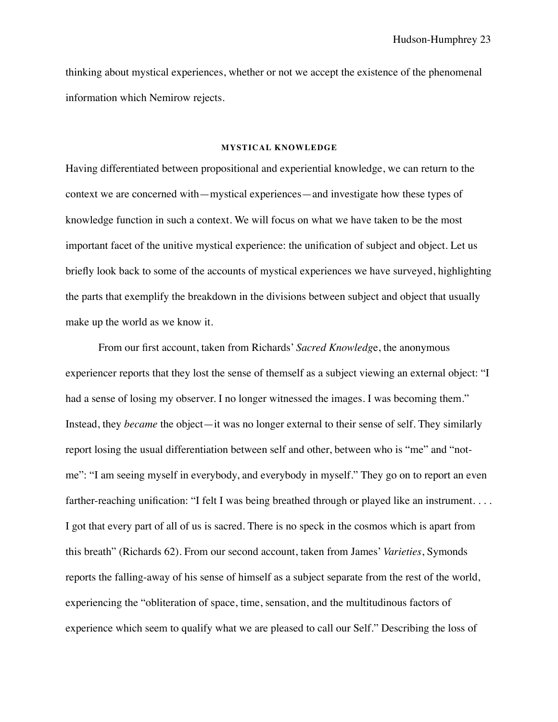thinking about mystical experiences, whether or not we accept the existence of the phenomenal information which Nemirow rejects.

#### **MYSTICAL KNOWLEDGE**

Having differentiated between propositional and experiential knowledge, we can return to the context we are concerned with—mystical experiences—and investigate how these types of knowledge function in such a context. We will focus on what we have taken to be the most important facet of the unitive mystical experience: the unification of subject and object. Let us briefly look back to some of the accounts of mystical experiences we have surveyed, highlighting the parts that exemplify the breakdown in the divisions between subject and object that usually make up the world as we know it.

From our first account, taken from Richards' *Sacred Knowledg*e, the anonymous experiencer reports that they lost the sense of themself as a subject viewing an external object: "I had a sense of losing my observer. I no longer witnessed the images. I was becoming them." Instead, they *became* the object—it was no longer external to their sense of self. They similarly report losing the usual differentiation between self and other, between who is "me" and "notme": "I am seeing myself in everybody, and everybody in myself." They go on to report an even farther-reaching unification: "I felt I was being breathed through or played like an instrument. . . . I got that every part of all of us is sacred. There is no speck in the cosmos which is apart from this breath" (Richards 62). From our second account, taken from James' *Varieties*, Symonds reports the falling-away of his sense of himself as a subject separate from the rest of the world, experiencing the "obliteration of space, time, sensation, and the multitudinous factors of experience which seem to qualify what we are pleased to call our Self." Describing the loss of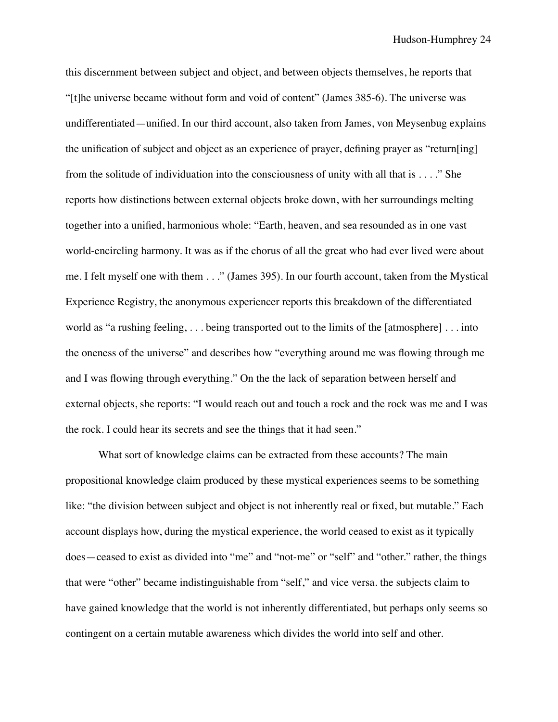this discernment between subject and object, and between objects themselves, he reports that "[t]he universe became without form and void of content" (James 385-6). The universe was undifferentiated—unified. In our third account, also taken from James, von Meysenbug explains the unification of subject and object as an experience of prayer, defining prayer as "return[ing] from the solitude of individuation into the consciousness of unity with all that is . . . ." She reports how distinctions between external objects broke down, with her surroundings melting together into a unified, harmonious whole: "Earth, heaven, and sea resounded as in one vast world-encircling harmony. It was as if the chorus of all the great who had ever lived were about me. I felt myself one with them . . ." (James 395). In our fourth account, taken from the Mystical Experience Registry, the anonymous experiencer reports this breakdown of the differentiated world as "a rushing feeling, . . . being transported out to the limits of the [atmosphere] . . . into the oneness of the universe" and describes how "everything around me was flowing through me and I was flowing through everything." On the the lack of separation between herself and external objects, she reports: "I would reach out and touch a rock and the rock was me and I was the rock. I could hear its secrets and see the things that it had seen."

What sort of knowledge claims can be extracted from these accounts? The main propositional knowledge claim produced by these mystical experiences seems to be something like: "the division between subject and object is not inherently real or fixed, but mutable." Each account displays how, during the mystical experience, the world ceased to exist as it typically does—ceased to exist as divided into "me" and "not-me" or "self" and "other." rather, the things that were "other" became indistinguishable from "self," and vice versa. the subjects claim to have gained knowledge that the world is not inherently differentiated, but perhaps only seems so contingent on a certain mutable awareness which divides the world into self and other.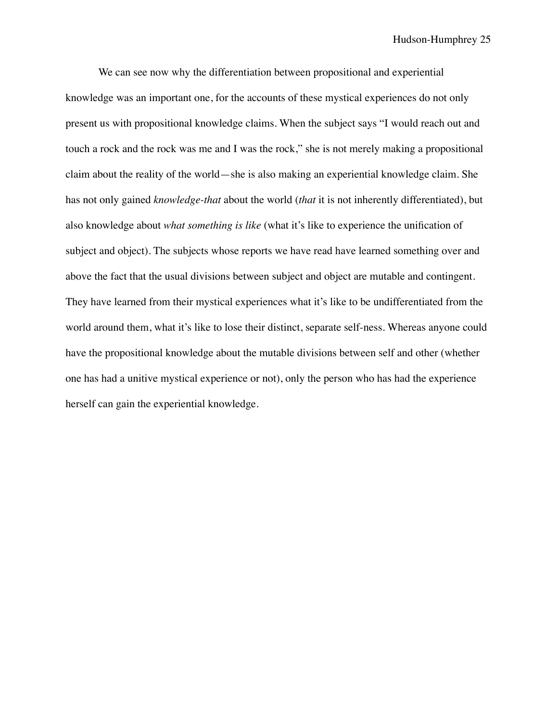We can see now why the differentiation between propositional and experiential knowledge was an important one, for the accounts of these mystical experiences do not only present us with propositional knowledge claims. When the subject says "I would reach out and touch a rock and the rock was me and I was the rock," she is not merely making a propositional claim about the reality of the world—she is also making an experiential knowledge claim. She has not only gained *knowledge-that* about the world (*that* it is not inherently differentiated), but also knowledge about *what something is like* (what it's like to experience the unification of subject and object). The subjects whose reports we have read have learned something over and above the fact that the usual divisions between subject and object are mutable and contingent. They have learned from their mystical experiences what it's like to be undifferentiated from the world around them, what it's like to lose their distinct, separate self-ness. Whereas anyone could have the propositional knowledge about the mutable divisions between self and other (whether one has had a unitive mystical experience or not), only the person who has had the experience herself can gain the experiential knowledge.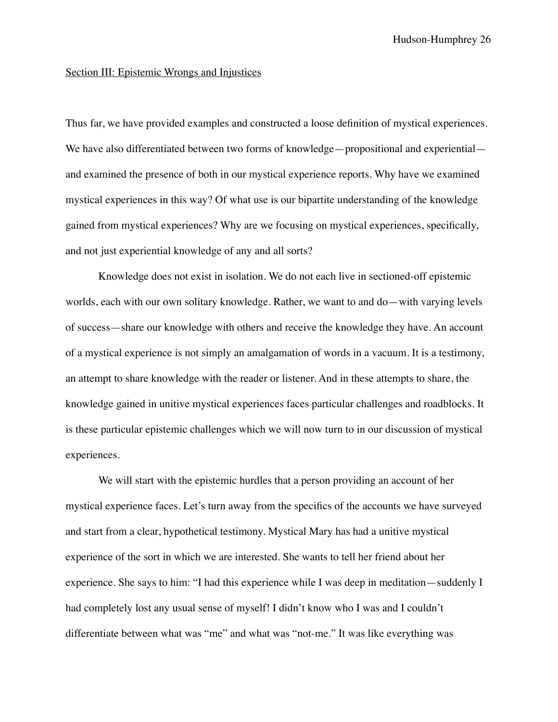### Section III: Epistemic Wrongs and Injustices

Thus far, we have provided examples and constructed a loose definition of mystical experiences. We have also differentiated between two forms of knowledge—propositional and experiential and examined the presence of both in our mystical experience reports. Why have we examined mystical experiences in this way? Of what use is our bipartite understanding of the knowledge gained from mystical experiences? Why are we focusing on mystical experiences, specifically, and not just experiential knowledge of any and all sorts?

Knowledge does not exist in isolation. We do not each live in sectioned-off epistemic worlds, each with our own solitary knowledge. Rather, we want to and do—with varying levels of success—share our knowledge with others and receive the knowledge they have. An account of a mystical experience is not simply an amalgamation of words in a vacuum. It is a testimony, an attempt to share knowledge with the reader or listener. And in these attempts to share, the knowledge gained in unitive mystical experiences faces particular challenges and roadblocks. It is these particular epistemic challenges which we will now turn to in our discussion of mystical experiences.

We will start with the epistemic hurdles that a person providing an account of her mystical experience faces. Let's turn away from the specifics of the accounts we have surveyed and start from a clear, hypothetical testimony. Mystical Mary has had a unitive mystical experience of the sort in which we are interested. She wants to tell her friend about her experience. She says to him: "I had this experience while I was deep in meditation—suddenly I had completely lost any usual sense of myself! I didn't know who I was and I couldn't differentiate between what was "me" and what was "not-me." It was like everything was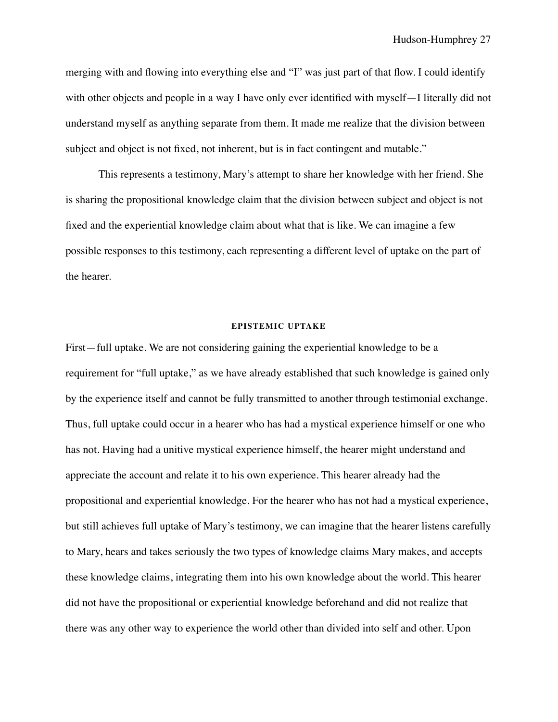merging with and flowing into everything else and "I" was just part of that flow. I could identify with other objects and people in a way I have only ever identified with myself—I literally did not understand myself as anything separate from them. It made me realize that the division between subject and object is not fixed, not inherent, but is in fact contingent and mutable."

This represents a testimony, Mary's attempt to share her knowledge with her friend. She is sharing the propositional knowledge claim that the division between subject and object is not fixed and the experiential knowledge claim about what that is like. We can imagine a few possible responses to this testimony, each representing a different level of uptake on the part of the hearer.

## **EPISTEMIC UPTAKE**

First—full uptake. We are not considering gaining the experiential knowledge to be a requirement for "full uptake," as we have already established that such knowledge is gained only by the experience itself and cannot be fully transmitted to another through testimonial exchange. Thus, full uptake could occur in a hearer who has had a mystical experience himself or one who has not. Having had a unitive mystical experience himself, the hearer might understand and appreciate the account and relate it to his own experience. This hearer already had the propositional and experiential knowledge. For the hearer who has not had a mystical experience, but still achieves full uptake of Mary's testimony, we can imagine that the hearer listens carefully to Mary, hears and takes seriously the two types of knowledge claims Mary makes, and accepts these knowledge claims, integrating them into his own knowledge about the world. This hearer did not have the propositional or experiential knowledge beforehand and did not realize that there was any other way to experience the world other than divided into self and other. Upon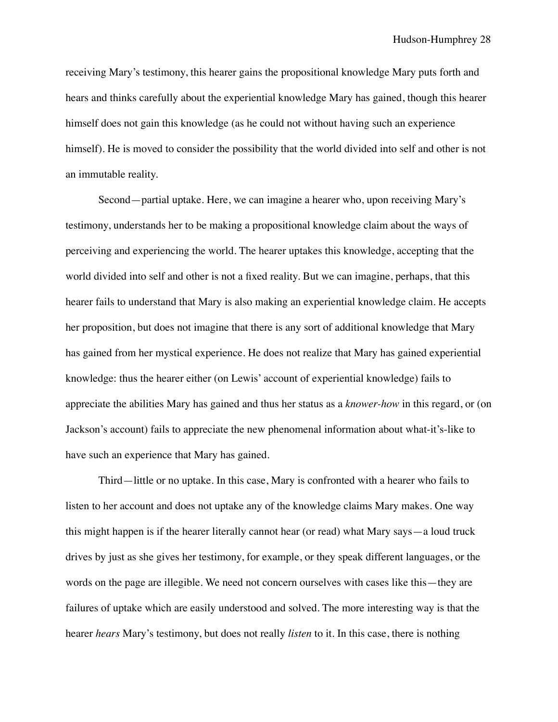receiving Mary's testimony, this hearer gains the propositional knowledge Mary puts forth and hears and thinks carefully about the experiential knowledge Mary has gained, though this hearer himself does not gain this knowledge (as he could not without having such an experience himself). He is moved to consider the possibility that the world divided into self and other is not an immutable reality.

Second—partial uptake. Here, we can imagine a hearer who, upon receiving Mary's testimony, understands her to be making a propositional knowledge claim about the ways of perceiving and experiencing the world. The hearer uptakes this knowledge, accepting that the world divided into self and other is not a fixed reality. But we can imagine, perhaps, that this hearer fails to understand that Mary is also making an experiential knowledge claim. He accepts her proposition, but does not imagine that there is any sort of additional knowledge that Mary has gained from her mystical experience. He does not realize that Mary has gained experiential knowledge: thus the hearer either (on Lewis' account of experiential knowledge) fails to appreciate the abilities Mary has gained and thus her status as a *knower-how* in this regard, or (on Jackson's account) fails to appreciate the new phenomenal information about what-it's-like to have such an experience that Mary has gained.

Third—little or no uptake. In this case, Mary is confronted with a hearer who fails to listen to her account and does not uptake any of the knowledge claims Mary makes. One way this might happen is if the hearer literally cannot hear (or read) what Mary says—a loud truck drives by just as she gives her testimony, for example, or they speak different languages, or the words on the page are illegible. We need not concern ourselves with cases like this—they are failures of uptake which are easily understood and solved. The more interesting way is that the hearer *hears* Mary's testimony, but does not really *listen* to it. In this case, there is nothing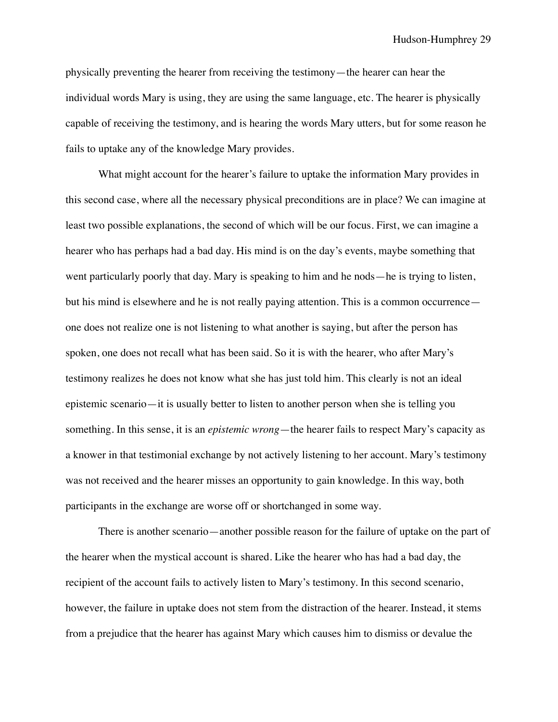physically preventing the hearer from receiving the testimony—the hearer can hear the individual words Mary is using, they are using the same language, etc. The hearer is physically capable of receiving the testimony, and is hearing the words Mary utters, but for some reason he fails to uptake any of the knowledge Mary provides.

What might account for the hearer's failure to uptake the information Mary provides in this second case, where all the necessary physical preconditions are in place? We can imagine at least two possible explanations, the second of which will be our focus. First, we can imagine a hearer who has perhaps had a bad day. His mind is on the day's events, maybe something that went particularly poorly that day. Mary is speaking to him and he nods—he is trying to listen, but his mind is elsewhere and he is not really paying attention. This is a common occurrence one does not realize one is not listening to what another is saying, but after the person has spoken, one does not recall what has been said. So it is with the hearer, who after Mary's testimony realizes he does not know what she has just told him. This clearly is not an ideal epistemic scenario—it is usually better to listen to another person when she is telling you something. In this sense, it is an *epistemic wrong*—the hearer fails to respect Mary's capacity as a knower in that testimonial exchange by not actively listening to her account. Mary's testimony was not received and the hearer misses an opportunity to gain knowledge. In this way, both participants in the exchange are worse off or shortchanged in some way.

There is another scenario—another possible reason for the failure of uptake on the part of the hearer when the mystical account is shared. Like the hearer who has had a bad day, the recipient of the account fails to actively listen to Mary's testimony. In this second scenario, however, the failure in uptake does not stem from the distraction of the hearer. Instead, it stems from a prejudice that the hearer has against Mary which causes him to dismiss or devalue the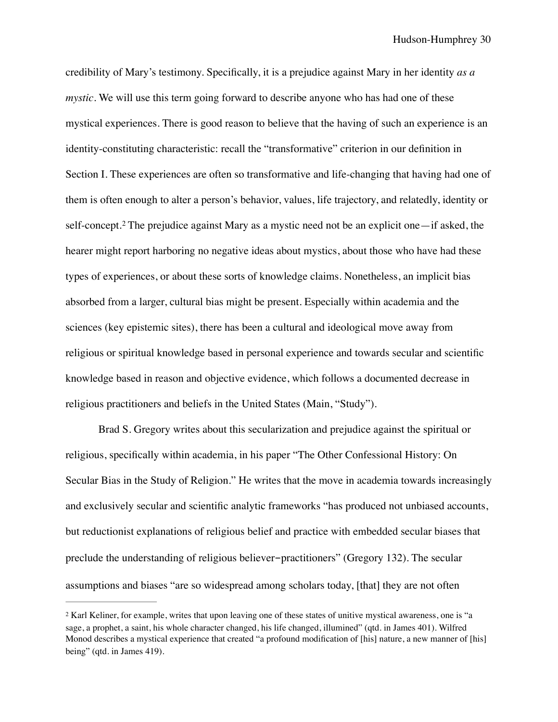<span id="page-31-1"></span>credibility of Mary's testimony. Specifically, it is a prejudice against Mary in her identity *as a mystic*. We will use this term going forward to describe anyone who has had one of these mystical experiences. There is good reason to believe that the having of such an experience is an identity-constituting characteristic: recall the "transformative" criterion in our definition in Section I. These experiences are often so transformative and life-changing that having had one of them is often enough to alter a person's behavior, values, life trajectory, and relatedly, identity or self-concept.<sup>2</sup>The prejudice against Mary as a mystic need not be an explicit one—if asked, the hearer might report harboring no negative ideas about mystics, about those who have had these types of experiences, or about these sorts of knowledge claims. Nonetheless, an implicit bias absorbed from a larger, cultural bias might be present. Especially within academia and the sciences (key epistemic sites), there has been a cultural and ideological move away from religious or spiritual knowledge based in personal experience and towards secular and scientific knowledge based in reason and objective evidence, which follows a documented decrease in religious practitioners and beliefs in the United States (Main, "Study").

Brad S. Gregory writes about this secularization and prejudice against the spiritual or religious, specifically within academia, in his paper "The Other Confessional History: On Secular Bias in the Study of Religion." He writes that the move in academia towards increasingly and exclusively secular and scientific analytic frameworks "has produced not unbiased accounts, but reductionist explanations of religious belief and practice with embedded secular biases that preclude the understanding of religious believer-practitioners" (Gregory 132). The secular assumptions and biases "are so widespread among scholars today, [that] they are not often

<span id="page-31-0"></span><sup>&</sup>lt;sup>[2](#page-31-1)</sup> Karl Keliner, for example, writes that upon leaving one of these states of unitive mystical awareness, one is "a sage, a prophet, a saint, his whole character changed, his life changed, illumined" (qtd. in James 401). Wilfred Monod describes a mystical experience that created "a profound modification of [his] nature, a new manner of [his] being" (qtd. in James 419).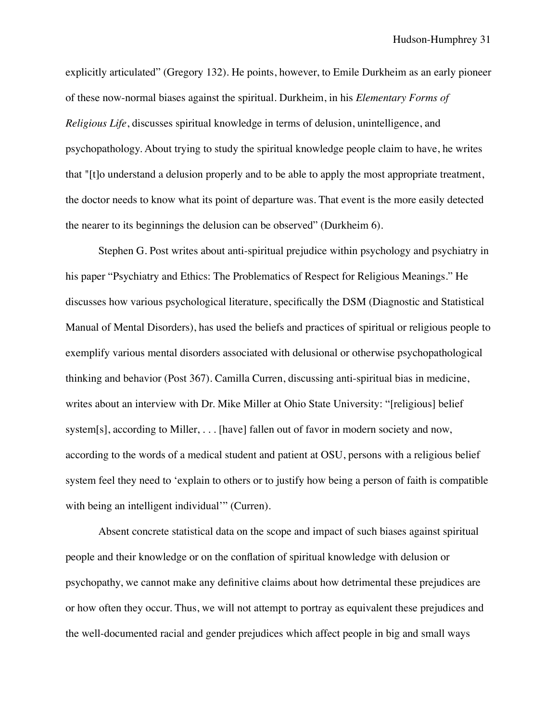explicitly articulated" (Gregory 132). He points, however, to Emile Durkheim as an early pioneer of these now-normal biases against the spiritual. Durkheim, in his *Elementary Forms of Religious Life*, discusses spiritual knowledge in terms of delusion, unintelligence, and psychopathology. About trying to study the spiritual knowledge people claim to have, he writes that "[t]o understand a delusion properly and to be able to apply the most appropriate treatment, the doctor needs to know what its point of departure was. That event is the more easily detected the nearer to its beginnings the delusion can be observed" (Durkheim 6).

Stephen G. Post writes about anti-spiritual prejudice within psychology and psychiatry in his paper "Psychiatry and Ethics: The Problematics of Respect for Religious Meanings." He discusses how various psychological literature, specifically the DSM (Diagnostic and Statistical Manual of Mental Disorders), has used the beliefs and practices of spiritual or religious people to exemplify various mental disorders associated with delusional or otherwise psychopathological thinking and behavior (Post 367). Camilla Curren, discussing anti-spiritual bias in medicine, writes about an interview with Dr. Mike Miller at Ohio State University: "[religious] belief system[s], according to Miller, . . . [have] fallen out of favor in modern society and now, according to the words of a medical student and patient at OSU, persons with a religious belief system feel they need to 'explain to others or to justify how being a person of faith is compatible with being an intelligent individual" (Curren).

Absent concrete statistical data on the scope and impact of such biases against spiritual people and their knowledge or on the conflation of spiritual knowledge with delusion or psychopathy, we cannot make any definitive claims about how detrimental these prejudices are or how often they occur. Thus, we will not attempt to portray as equivalent these prejudices and the well-documented racial and gender prejudices which affect people in big and small ways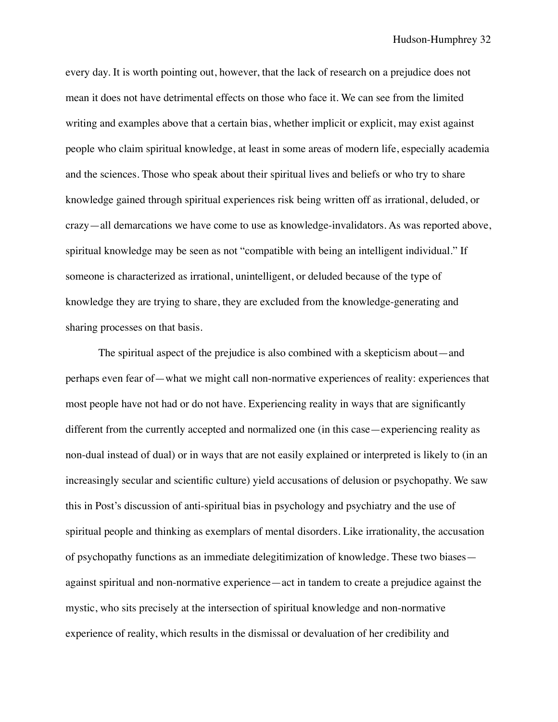every day. It is worth pointing out, however, that the lack of research on a prejudice does not mean it does not have detrimental effects on those who face it. We can see from the limited writing and examples above that a certain bias, whether implicit or explicit, may exist against people who claim spiritual knowledge, at least in some areas of modern life, especially academia and the sciences. Those who speak about their spiritual lives and beliefs or who try to share knowledge gained through spiritual experiences risk being written off as irrational, deluded, or crazy—all demarcations we have come to use as knowledge-invalidators. As was reported above, spiritual knowledge may be seen as not "compatible with being an intelligent individual." If someone is characterized as irrational, unintelligent, or deluded because of the type of knowledge they are trying to share, they are excluded from the knowledge-generating and sharing processes on that basis.

The spiritual aspect of the prejudice is also combined with a skepticism about—and perhaps even fear of—what we might call non-normative experiences of reality: experiences that most people have not had or do not have. Experiencing reality in ways that are significantly different from the currently accepted and normalized one (in this case—experiencing reality as non-dual instead of dual) or in ways that are not easily explained or interpreted is likely to (in an increasingly secular and scientific culture) yield accusations of delusion or psychopathy. We saw this in Post's discussion of anti-spiritual bias in psychology and psychiatry and the use of spiritual people and thinking as exemplars of mental disorders. Like irrationality, the accusation of psychopathy functions as an immediate delegitimization of knowledge. These two biases against spiritual and non-normative experience—act in tandem to create a prejudice against the mystic, who sits precisely at the intersection of spiritual knowledge and non-normative experience of reality, which results in the dismissal or devaluation of her credibility and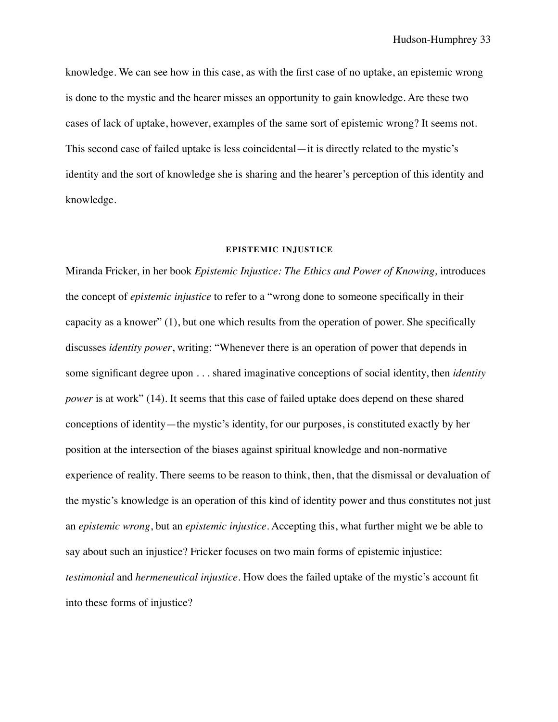knowledge. We can see how in this case, as with the first case of no uptake, an epistemic wrong is done to the mystic and the hearer misses an opportunity to gain knowledge. Are these two cases of lack of uptake, however, examples of the same sort of epistemic wrong? It seems not. This second case of failed uptake is less coincidental—it is directly related to the mystic's identity and the sort of knowledge she is sharing and the hearer's perception of this identity and knowledge.

#### **EPISTEMIC INJUSTICE**

Miranda Fricker, in her book *Epistemic Injustice: The Ethics and Power of Knowing,* introduces the concept of *epistemic injustice* to refer to a "wrong done to someone specifically in their capacity as a knower" (1), but one which results from the operation of power. She specifically discusses *identity power*, writing: "Whenever there is an operation of power that depends in some significant degree upon . . . shared imaginative conceptions of social identity, then *identity power* is at work" (14). It seems that this case of failed uptake does depend on these shared conceptions of identity—the mystic's identity, for our purposes, is constituted exactly by her position at the intersection of the biases against spiritual knowledge and non-normative experience of reality. There seems to be reason to think, then, that the dismissal or devaluation of the mystic's knowledge is an operation of this kind of identity power and thus constitutes not just an *epistemic wrong*, but an *epistemic injustice*. Accepting this, what further might we be able to say about such an injustice? Fricker focuses on two main forms of epistemic injustice: *testimonial* and *hermeneutical injustice*. How does the failed uptake of the mystic's account fit into these forms of injustice?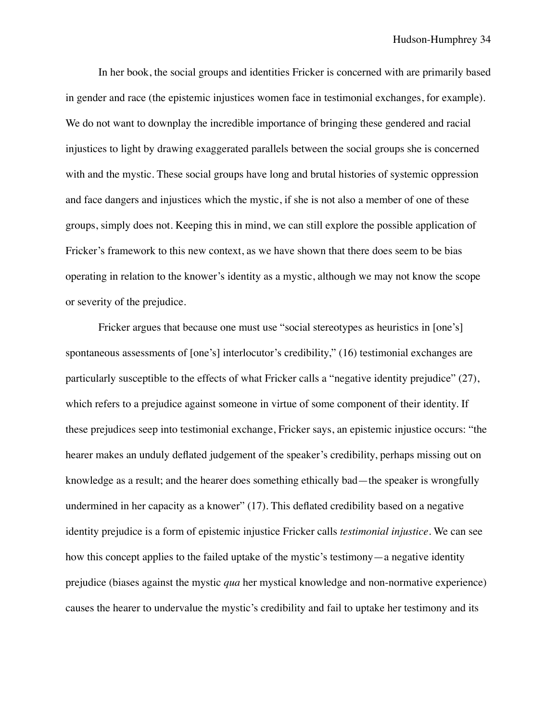In her book, the social groups and identities Fricker is concerned with are primarily based in gender and race (the epistemic injustices women face in testimonial exchanges, for example). We do not want to downplay the incredible importance of bringing these gendered and racial injustices to light by drawing exaggerated parallels between the social groups she is concerned with and the mystic. These social groups have long and brutal histories of systemic oppression and face dangers and injustices which the mystic, if she is not also a member of one of these groups, simply does not. Keeping this in mind, we can still explore the possible application of Fricker's framework to this new context, as we have shown that there does seem to be bias operating in relation to the knower's identity as a mystic, although we may not know the scope or severity of the prejudice.

Fricker argues that because one must use "social stereotypes as heuristics in [one's] spontaneous assessments of [one's] interlocutor's credibility," (16) testimonial exchanges are particularly susceptible to the effects of what Fricker calls a "negative identity prejudice" (27), which refers to a prejudice against someone in virtue of some component of their identity. If these prejudices seep into testimonial exchange, Fricker says, an epistemic injustice occurs: "the hearer makes an unduly deflated judgement of the speaker's credibility, perhaps missing out on knowledge as a result; and the hearer does something ethically bad—the speaker is wrongfully undermined in her capacity as a knower" (17). This deflated credibility based on a negative identity prejudice is a form of epistemic injustice Fricker calls *testimonial injustice*. We can see how this concept applies to the failed uptake of the mystic's testimony—a negative identity prejudice (biases against the mystic *qua* her mystical knowledge and non-normative experience) causes the hearer to undervalue the mystic's credibility and fail to uptake her testimony and its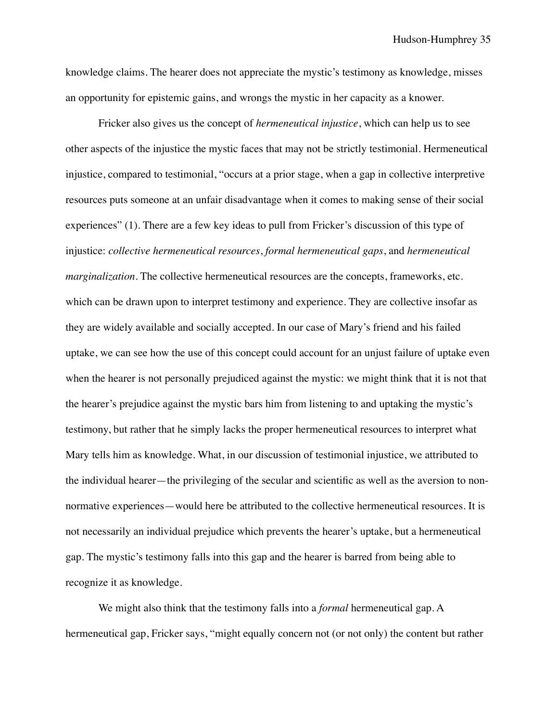knowledge claims. The hearer does not appreciate the mystic's testimony as knowledge, misses an opportunity for epistemic gains, and wrongs the mystic in her capacity as a knower.

Fricker also gives us the concept of *hermeneutical injustice*, which can help us to see other aspects of the injustice the mystic faces that may not be strictly testimonial. Hermeneutical injustice, compared to testimonial, "occurs at a prior stage, when a gap in collective interpretive resources puts someone at an unfair disadvantage when it comes to making sense of their social experiences" (1). There are a few key ideas to pull from Fricker's discussion of this type of injustice: *collective hermeneutical resources*, *formal hermeneutical gaps*, and *hermeneutical marginalization*. The collective hermeneutical resources are the concepts, frameworks, etc. which can be drawn upon to interpret testimony and experience. They are collective insofar as they are widely available and socially accepted. In our case of Mary's friend and his failed uptake, we can see how the use of this concept could account for an unjust failure of uptake even when the hearer is not personally prejudiced against the mystic: we might think that it is not that the hearer's prejudice against the mystic bars him from listening to and uptaking the mystic's testimony, but rather that he simply lacks the proper hermeneutical resources to interpret what Mary tells him as knowledge. What, in our discussion of testimonial injustice, we attributed to the individual hearer—the privileging of the secular and scientific as well as the aversion to nonnormative experiences—would here be attributed to the collective hermeneutical resources. It is not necessarily an individual prejudice which prevents the hearer's uptake, but a hermeneutical gap. The mystic's testimony falls into this gap and the hearer is barred from being able to recognize it as knowledge.

We might also think that the testimony falls into a *formal* hermeneutical gap. A hermeneutical gap, Fricker says, "might equally concern not (or not only) the content but rather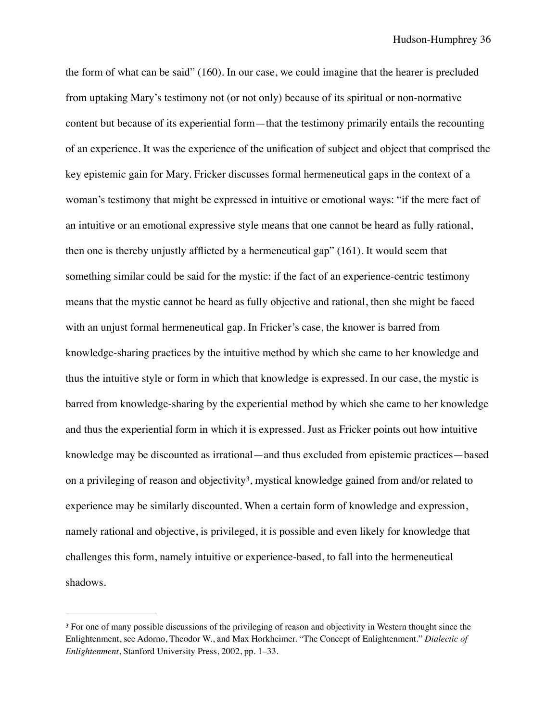the form of what can be said" (160). In our case, we could imagine that the hearer is precluded from uptaking Mary's testimony not (or not only) because of its spiritual or non-normative content but because of its experiential form—that the testimony primarily entails the recounting of an experience. It was the experience of the unification of subject and object that comprised the key epistemic gain for Mary. Fricker discusses formal hermeneutical gaps in the context of a woman's testimony that might be expressed in intuitive or emotional ways: "if the mere fact of an intuitive or an emotional expressive style means that one cannot be heard as fully rational, then one is thereby unjustly afflicted by a hermeneutical gap" (161). It would seem that something similar could be said for the mystic: if the fact of an experience-centric testimony means that the mystic cannot be heard as fully objective and rational, then she might be faced with an unjust formal hermeneutical gap. In Fricker's case, the knower is barred from knowledge-sharing practices by the intuitive method by which she came to her knowledge and thus the intuitive style or form in which that knowledge is expressed. In our case, the mystic is barred from knowledge-sharing by the experiential method by which she came to her knowledge and thus the experiential form in which it is expressed. Just as Fricker points out how intuitive knowledge may be discounted as irrational—and thus excluded from epistemic practices—based on a privileging of reason and objectivity<sup>3</sup>[,](#page-37-0) mystical knowledge gained from and/or related to experience may be similarly discounted. When a certain form of knowledge and expression, namely rational and objective, is privileged, it is possible and even likely for knowledge that challenges this form, namely intuitive or experience-based, to fall into the hermeneutical shadows.

<span id="page-37-1"></span><span id="page-37-0"></span><sup>&</sup>lt;sup>[3](#page-37-1)</sup> For one of many possible discussions of the privileging of reason and objectivity in Western thought since the Enlightenment, see Adorno, Theodor W., and Max Horkheimer. "The Concept of Enlightenment." *Dialectic of Enlightenment*, Stanford University Press, 2002, pp. 1–33.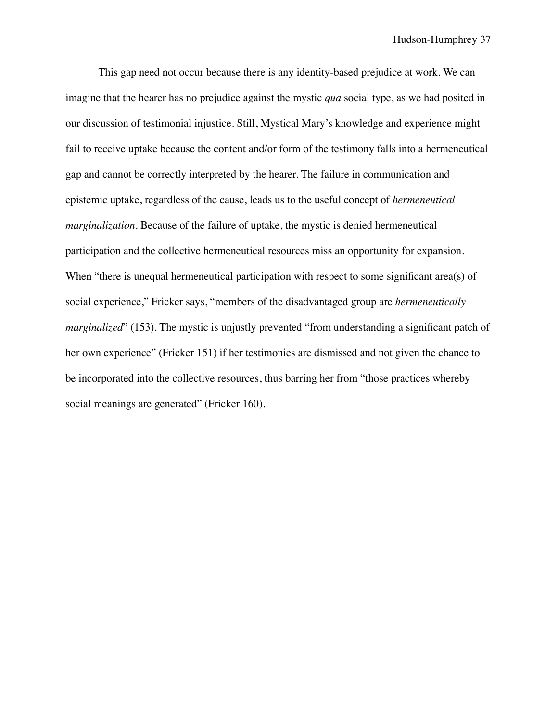This gap need not occur because there is any identity-based prejudice at work. We can imagine that the hearer has no prejudice against the mystic *qua* social type, as we had posited in our discussion of testimonial injustice. Still, Mystical Mary's knowledge and experience might fail to receive uptake because the content and/or form of the testimony falls into a hermeneutical gap and cannot be correctly interpreted by the hearer. The failure in communication and epistemic uptake, regardless of the cause, leads us to the useful concept of *hermeneutical marginalization.* Because of the failure of uptake, the mystic is denied hermeneutical participation and the collective hermeneutical resources miss an opportunity for expansion. When "there is unequal hermeneutical participation with respect to some significant area(s) of social experience," Fricker says, "members of the disadvantaged group are *hermeneutically marginalized*" (153). The mystic is unjustly prevented "from understanding a significant patch of her own experience" (Fricker 151) if her testimonies are dismissed and not given the chance to be incorporated into the collective resources, thus barring her from "those practices whereby social meanings are generated" (Fricker 160).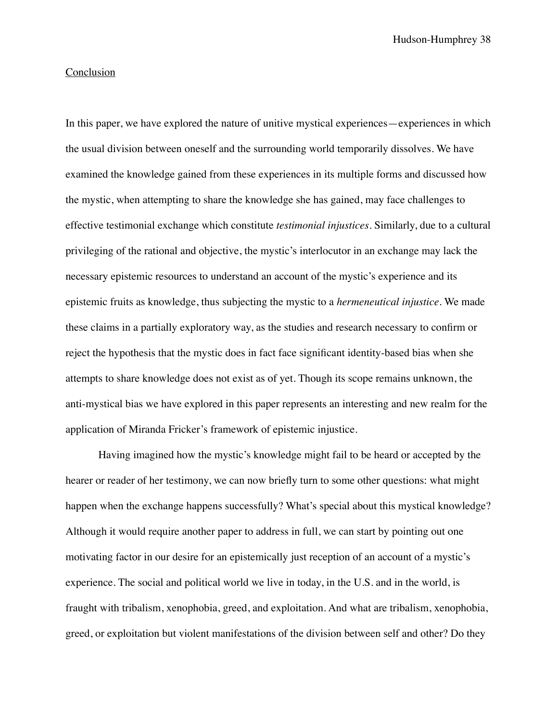## Conclusion

In this paper, we have explored the nature of unitive mystical experiences—experiences in which the usual division between oneself and the surrounding world temporarily dissolves. We have examined the knowledge gained from these experiences in its multiple forms and discussed how the mystic, when attempting to share the knowledge she has gained, may face challenges to effective testimonial exchange which constitute *testimonial injustices*. Similarly, due to a cultural privileging of the rational and objective, the mystic's interlocutor in an exchange may lack the necessary epistemic resources to understand an account of the mystic's experience and its epistemic fruits as knowledge, thus subjecting the mystic to a *hermeneutical injustice*. We made these claims in a partially exploratory way, as the studies and research necessary to confirm or reject the hypothesis that the mystic does in fact face significant identity-based bias when she attempts to share knowledge does not exist as of yet. Though its scope remains unknown, the anti-mystical bias we have explored in this paper represents an interesting and new realm for the application of Miranda Fricker's framework of epistemic injustice.

Having imagined how the mystic's knowledge might fail to be heard or accepted by the hearer or reader of her testimony, we can now briefly turn to some other questions: what might happen when the exchange happens successfully? What's special about this mystical knowledge? Although it would require another paper to address in full, we can start by pointing out one motivating factor in our desire for an epistemically just reception of an account of a mystic's experience. The social and political world we live in today, in the U.S. and in the world, is fraught with tribalism, xenophobia, greed, and exploitation. And what are tribalism, xenophobia, greed, or exploitation but violent manifestations of the division between self and other? Do they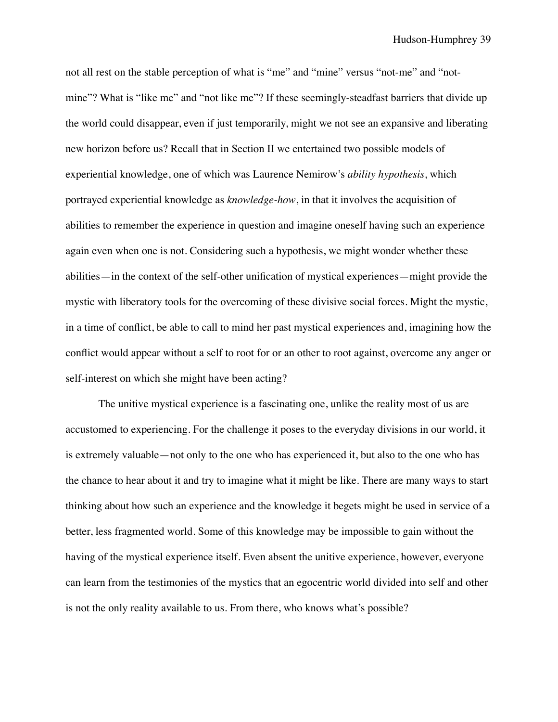not all rest on the stable perception of what is "me" and "mine" versus "not-me" and "notmine"? What is "like me" and "not like me"? If these seemingly-steadfast barriers that divide up the world could disappear, even if just temporarily, might we not see an expansive and liberating new horizon before us? Recall that in Section II we entertained two possible models of experiential knowledge, one of which was Laurence Nemirow's *ability hypothesis*, which portrayed experiential knowledge as *knowledge-how*, in that it involves the acquisition of abilities to remember the experience in question and imagine oneself having such an experience again even when one is not. Considering such a hypothesis, we might wonder whether these abilities—in the context of the self-other unification of mystical experiences—might provide the mystic with liberatory tools for the overcoming of these divisive social forces. Might the mystic, in a time of conflict, be able to call to mind her past mystical experiences and, imagining how the conflict would appear without a self to root for or an other to root against, overcome any anger or self-interest on which she might have been acting?

The unitive mystical experience is a fascinating one, unlike the reality most of us are accustomed to experiencing. For the challenge it poses to the everyday divisions in our world, it is extremely valuable—not only to the one who has experienced it, but also to the one who has the chance to hear about it and try to imagine what it might be like. There are many ways to start thinking about how such an experience and the knowledge it begets might be used in service of a better, less fragmented world. Some of this knowledge may be impossible to gain without the having of the mystical experience itself. Even absent the unitive experience, however, everyone can learn from the testimonies of the mystics that an egocentric world divided into self and other is not the only reality available to us. From there, who knows what's possible?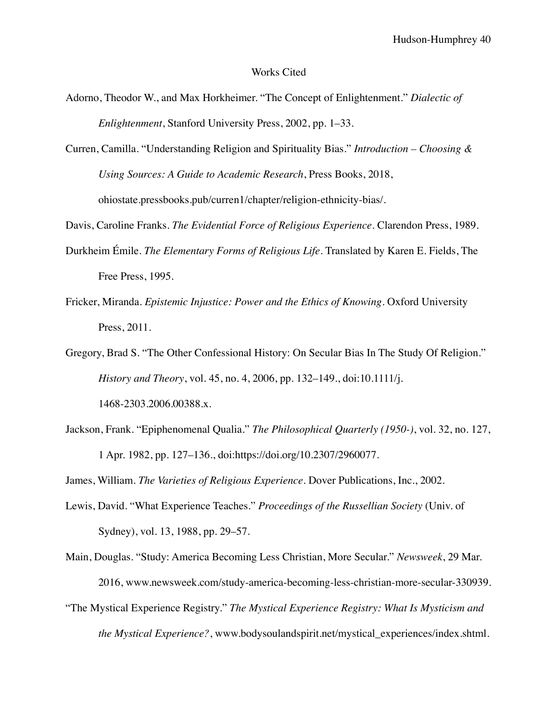#### Works Cited

- Adorno, Theodor W., and Max Horkheimer. "The Concept of Enlightenment." *Dialectic of Enlightenment*, Stanford University Press, 2002, pp. 1–33.
- Curren, Camilla. "Understanding Religion and Spirituality Bias." *Introduction Choosing & Using Sources: A Guide to Academic Research*, Press Books, 2018, ohiostate.pressbooks.pub/curren1/chapter/religion-ethnicity-bias/.
- Davis, Caroline Franks. *The Evidential Force of Religious Experience*. Clarendon Press, 1989.
- Durkheim Émile. *The Elementary Forms of Religious Life*. Translated by Karen E. Fields, The Free Press, 1995.
- Fricker, Miranda. *Epistemic Injustice: Power and the Ethics of Knowing*. Oxford University Press, 2011.
- Gregory, Brad S. "The Other Confessional History: On Secular Bias In The Study Of Religion." *History and Theory*, vol. 45, no. 4, 2006, pp. 132–149., doi:10.1111/j. 1468-2303.2006.00388.x.
- Jackson, Frank. "Epiphenomenal Qualia." *The Philosophical Quarterly (1950-)*, vol. 32, no. 127, 1 Apr. 1982, pp. 127–136., doi:https://doi.org/10.2307/2960077.

James, William. *The Varieties of Religious Experience*. Dover Publications, Inc., 2002.

- Lewis, David. "What Experience Teaches." *Proceedings of the Russellian Society* (Univ. of Sydney), vol. 13, 1988, pp. 29–57.
- Main, Douglas. "Study: America Becoming Less Christian, More Secular." *Newsweek*, 29 Mar. 2016, www.newsweek.com/study-america-becoming-less-christian-more-secular-330939.
- "The Mystical Experience Registry." *The Mystical Experience Registry: What Is Mysticism and the Mystical Experience?*, www.bodysoulandspirit.net/mystical\_experiences/index.shtml.